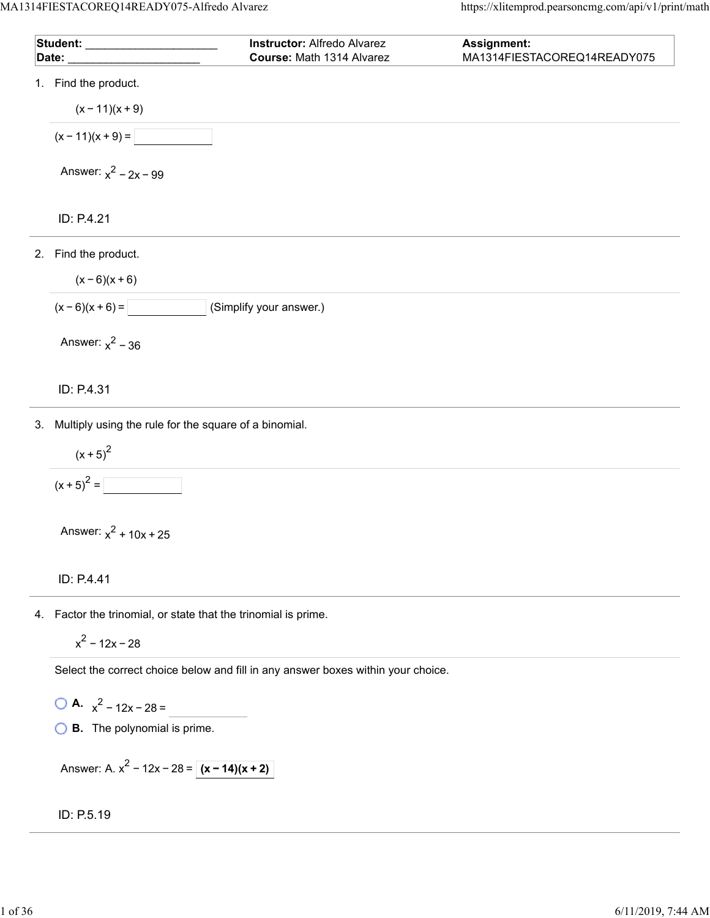| Student: ____________________                                  | <b>Instructor: Alfredo Alvarez</b> | Assignment:                 |
|----------------------------------------------------------------|------------------------------------|-----------------------------|
| Date:                                                          | Course: Math 1314 Alvarez          | MA1314FIESTACOREQ14READY075 |
| 1. Find the product.                                           |                                    |                             |
| $(x - 11)(x + 9)$                                              |                                    |                             |
| $(x - 11)(x + 9) =$                                            |                                    |                             |
| Answer: $x^2 - 2x - 99$                                        |                                    |                             |
| ID: P.4.21                                                     |                                    |                             |
| 2. Find the product.                                           |                                    |                             |
| $(x-6)(x+6)$                                                   |                                    |                             |
| $(x-6)(x+6) =$                                                 | (Simplify your answer.)            |                             |
| Answer: $x^2$ – 36                                             |                                    |                             |
| ID: P.4.31                                                     |                                    |                             |
| 3. Multiply using the rule for the square of a binomial.       |                                    |                             |
| $(x + 5)^2$                                                    |                                    |                             |
| $(x + 5)^{2} =$                                                |                                    |                             |
| Answer: $x^2$ + 10x + 25                                       |                                    |                             |
| ID: P.4.41                                                     |                                    |                             |
| 4. Factor the trinomial, or state that the trinomial is prime. |                                    |                             |

$$
x^2 - 12x - 28
$$

Select the correct choice below and fill in any answer boxes within your choice.

 $\bigcirc$  **A.**  $x^2 - 12x - 28 =$ 

**B.** The polynomial is prime.

Answer: A. 
$$
x^2 - 12x - 28 = |(x - 14)(x + 2)|
$$

ID: P.5.19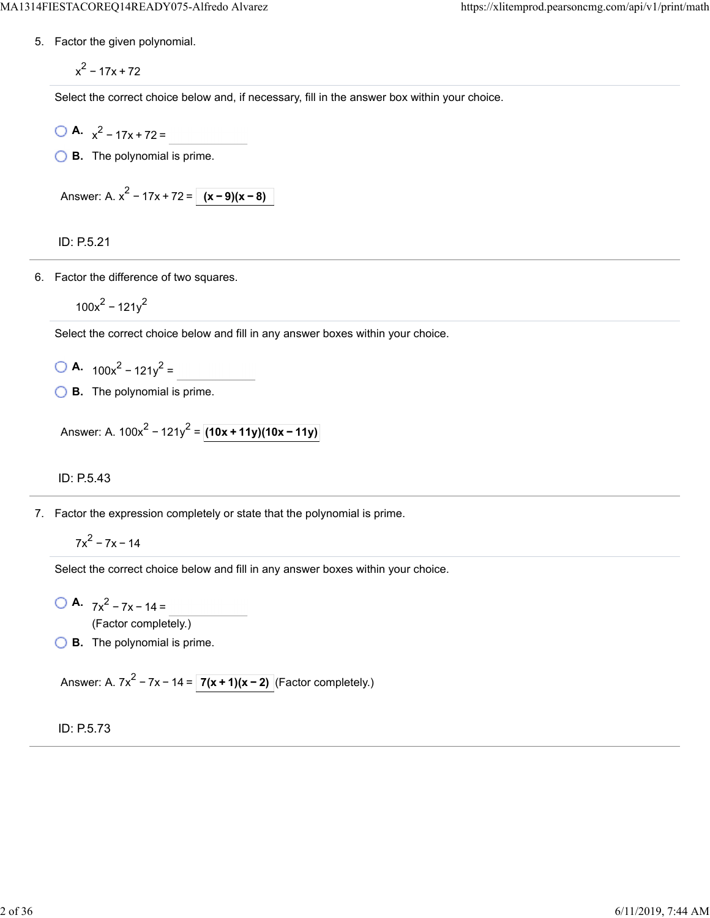5. Factor the given polynomial.

 $x^2 - 17x + 72$ 

Select the correct choice below and, if necessary, fill in the answer box within your choice.

$$
A. x^2 - 17x + 72 =
$$

**B.** The polynomial is prime.

Answer: A. 
$$
x^2 - 17x + 72 = (x - 9)(x - 8)
$$

ID: P.5.21

6. Factor the difference of two squares.

 $100x^2 - 121y^2$ 

Select the correct choice below and fill in any answer boxes within your choice.

- $\bigcirc$  **A.**  $100x^2 121y^2 =$
- **B.** The polynomial is prime.

Answer: A.  $100x^{2} - 121y^{2} = (10x + 11y)(10x - 11y)$ 

ID: P.5.43

7. Factor the expression completely or state that the polynomial is prime.

 $7x^2 - 7x - 14$ 

Select the correct choice below and fill in any answer boxes within your choice.

**A.**  $7x^2 - 7x - 14 =$ 

(Factor completely.)

**B.** The polynomial is prime.

Answer: A. 7x<sup>2</sup> – 7x – 14 =  $\boxed{7(x + 1)(x - 2)}$  (Factor completely.)

ID: P.5.73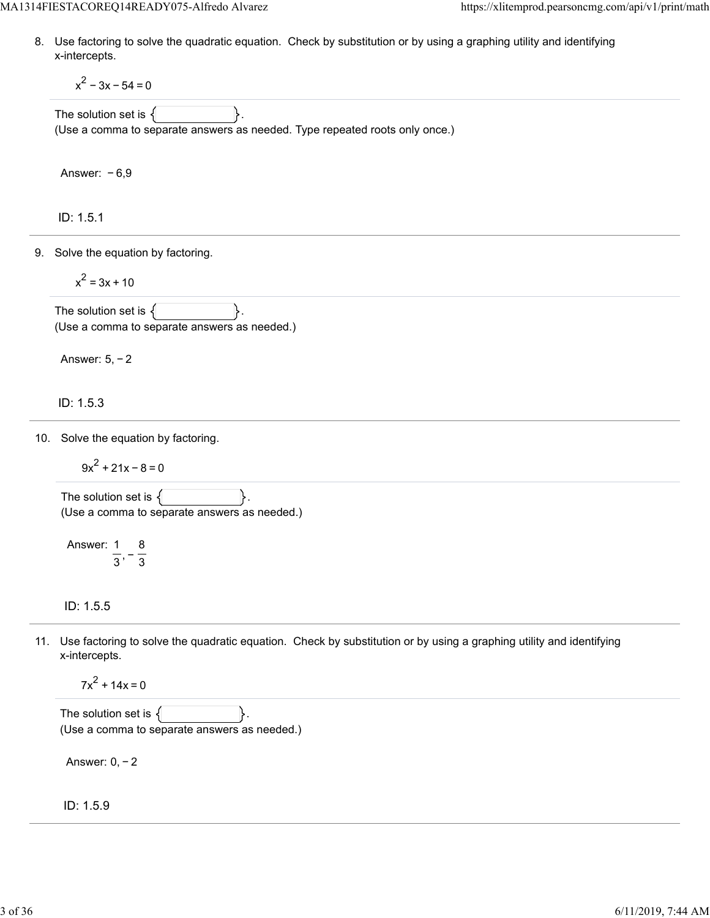8. Use factoring to solve the quadratic equation. Check by substitution or by using a graphing utility and identifying x-intercepts.

 $x^{2}$  – 3x – 54 = 0

The solution set is  $\{$ (Use a comma to separate answers as needed. Type repeated roots only once.)

Answer: − 6,9

ID: 1.5.1

9. Solve the equation by factoring.

$$
x^2 = 3x + 10
$$

The solution set is  $\{$ (Use a comma to separate answers as needed.)

Answer: 5, − 2

ID: 1.5.3

10. Solve the equation by factoring.

 $9x^{2}$  + 21x – 8 = 0

The solution set is  $\{$ (Use a comma to separate answers as needed.)

Answer: 1  $\frac{1}{3}$ , -  $\frac{1}{3}$ 8

ID: 1.5.5

11. Use factoring to solve the quadratic equation. Check by substitution or by using a graphing utility and identifying x-intercepts.

 $7x^{2}$  + 14x = 0

The solution set is  $\{$ (Use a comma to separate answers as needed.)

Answer: 0, − 2

ID: 1.5.9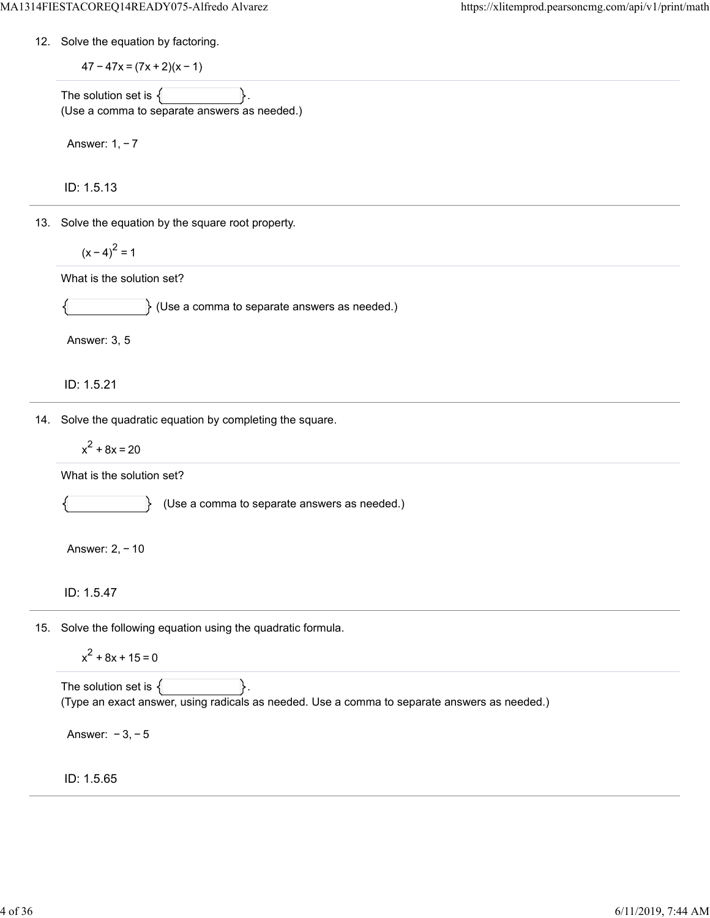12. Solve the equation by factoring.

 $47 - 47x = (7x + 2)(x - 1)$ 

The solution set is  $\{$ (Use a comma to separate answers as needed.)

Answer: 1, − 7

ID: 1.5.13

13. Solve the equation by the square root property.

$$
(x-4)^2=1
$$

What is the solution set?

 $\}$  (Use a comma to separate answers as needed.)

Answer: 3, 5

ID: 1.5.21

14. Solve the quadratic equation by completing the square.

$$
x^2 + 8x = 20
$$

What is the solution set?

 $\mathbb{R}$ 

(Use a comma to separate answers as needed.)

Answer: 2, − 10

ID: 1.5.47

15. Solve the following equation using the quadratic formula.

$$
x^2 + 8x + 15 = 0
$$

The solution set is  $\{$ (Type an exact answer, using radicals as needed. Use a comma to separate answers as needed.)

Answer: − 3, − 5

ID: 1.5.65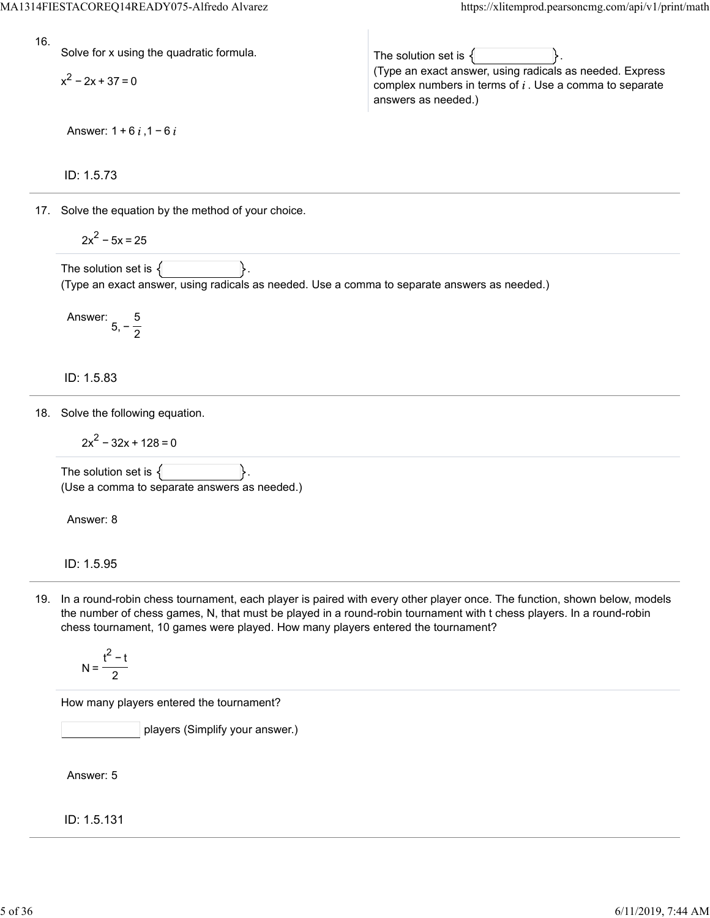(Type an exact answer, using radicals as needed. Express complex numbers in terms of  $i$ . Use a comma to separate

16.

Solve for x using the quadratic formula.

 $x^2 - 2x + 37 = 0$ 

Answer:  $1 + 6i$ ,  $1 - 6i$ 

ID: 1.5.73

17. Solve the equation by the method of your choice.

$$
2x^2-5x=25
$$

The solution set is  $\{$ (Type an exact answer, using radicals as needed. Use a comma to separate answers as needed.)

The solution set is  $\{$ 

answers as needed.)

Answer: 5, − 5 2

ID: 1.5.83

18. Solve the following equation.

$$
2x^2 - 32x + 128 = 0
$$

The solution set is  $\{$ (Use a comma to separate answers as needed.)

Answer: 8

ID: 1.5.95

19. In a round-robin chess tournament, each player is paired with every other player once. The function, shown below, models the number of chess games, N, that must be played in a round-robin tournament with t chess players. In a round-robin chess tournament, 10 games were played. How many players entered the tournament?

$$
N = \frac{t^2 - t}{2}
$$

How many players entered the tournament?

players (Simplify your answer.)

Answer: 5

ID: 1.5.131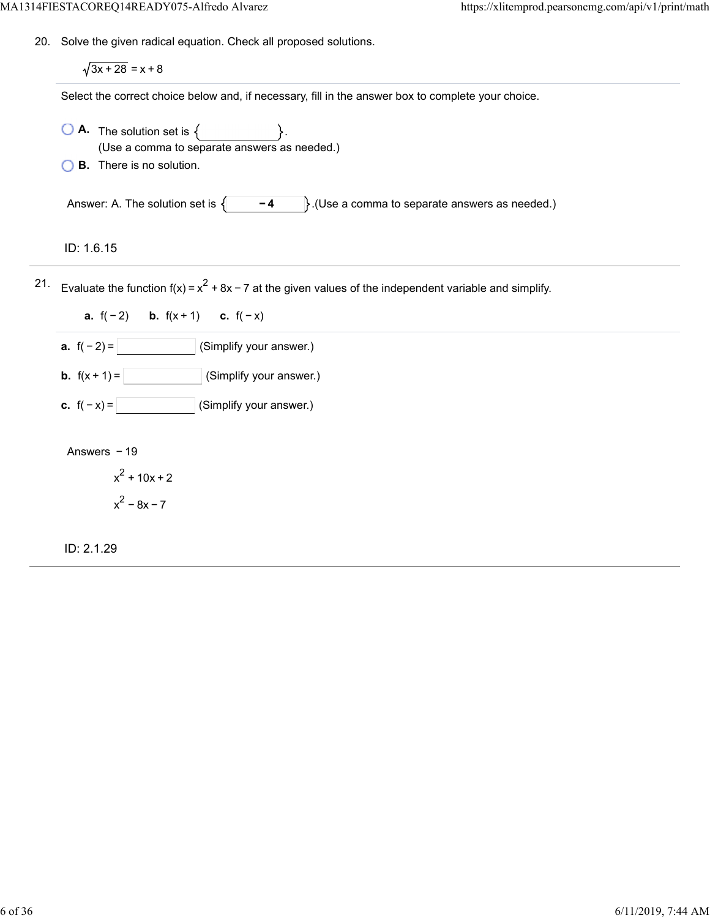20. Solve the given radical equation. Check all proposed solutions.

 $\sqrt{3x + 28} = x + 8$ 

Select the correct choice below and, if necessary, fill in the answer box to complete your choice.

- $\overline{A}$ . The solution set is  $\left\{ \right.$ (Use a comma to separate answers as needed.)
- **B.** There is no solution.

Answer: A. The solution set is  $\begin{cases} -4 \end{cases}$ . (Use a comma to separate answers as needed.)

ID: 1.6.15

21. Evaluate the function f(x) =  $x^2$  + 8x − 7 at the given values of the independent variable and simplify.

**a.**  $f(-2)$  **b.**  $f(x+1)$  **c.**  $f(-x)$ 

**a.**  $f(-2) =$  (Simplify your answer.)

**b.**  $f(x + 1) =$  (Simplify your answer.)

**c.**  $f(-x) =$  (Simplify your answer.)

Answers − 19

 $x^2$  + 10x + 2  $x^2 - 8x - 7$ 

ID: 2.1.29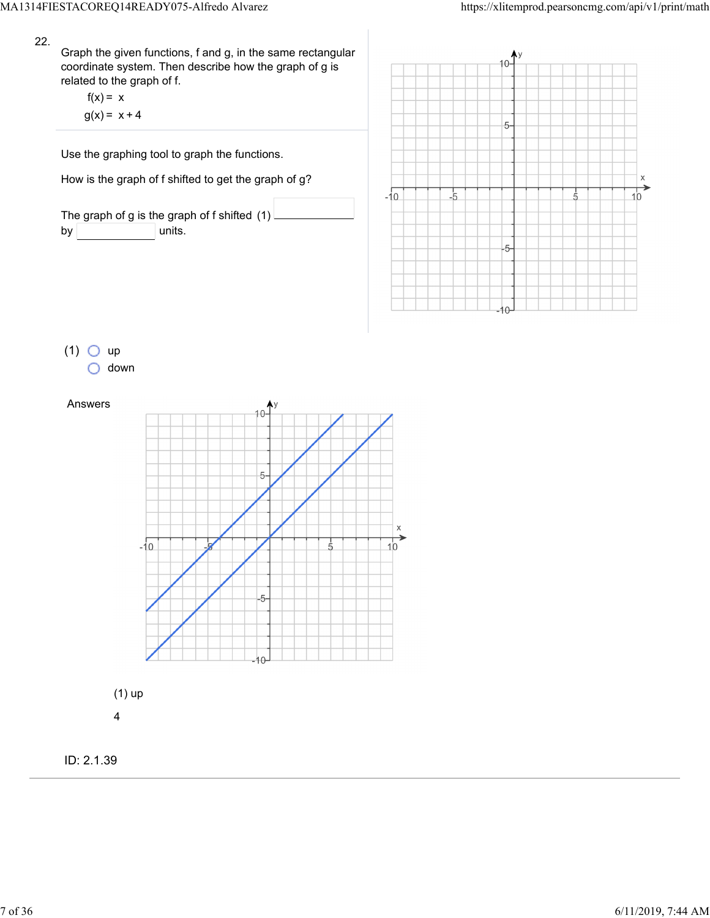Graph the given functions, f and g, in the same rectangular coordinate system. Then describe how the graph of g is related to the graph of f.

 $f(x) = x$  $g(x) = x + 4$ 

Use the graphing tool to graph the functions.

How is the graph of f shifted to get the graph of g?

The graph of g is the graph of f shifted (1)  $by$  units.



 $(1)$  O up down

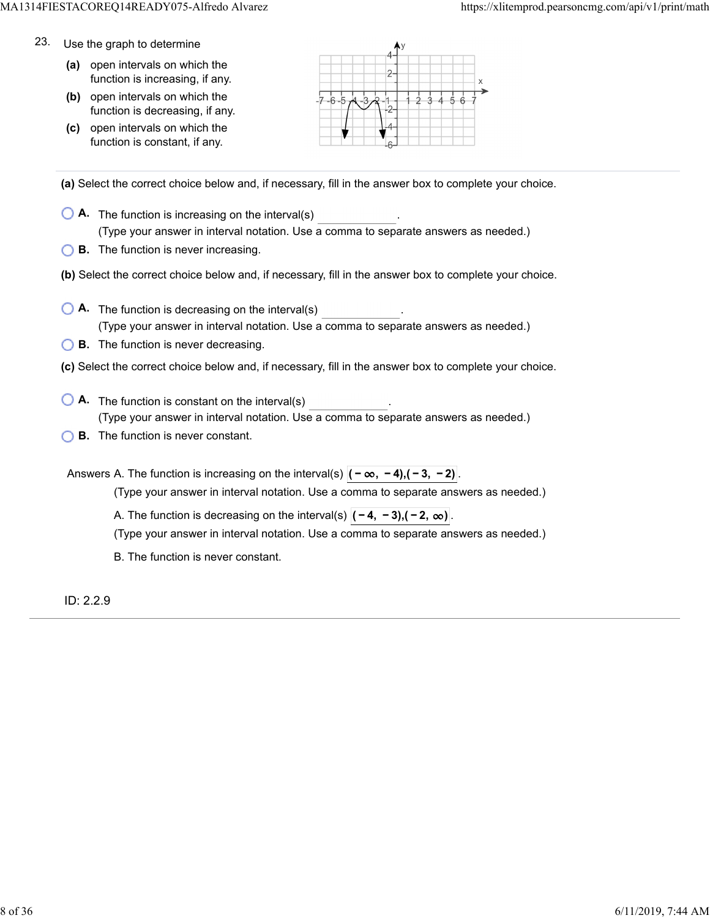- 23. Use the graph to determine
	- **(a)** open intervals on which the function is increasing, if any.
	- **(b)** open intervals on which the function is decreasing, if any.
	- **(c)** open intervals on which the function is constant, if any.



**(a)** Select the correct choice below and, if necessary, fill in the answer box to complete your choice.

- **A.** The function is increasing on the interval(s) . (Type your answer in interval notation. Use a comma to separate answers as needed.)
- **B.** The function is never increasing.
- **(b)** Select the correct choice below and, if necessary, fill in the answer box to complete your choice.
- **A.** The function is decreasing on the interval(s) . (Type your answer in interval notation. Use a comma to separate answers as needed.)
- **B.** The function is never decreasing.
- **(c)** Select the correct choice below and, if necessary, fill in the answer box to complete your choice.
- **A**. The function is constant on the interval(s) **A**. (Type your answer in interval notation. Use a comma to separate answers as needed.)
- **B.** The function is never constant.

Answers A. The function is increasing on the interval(s)  $|(-\infty, -4), (-3, -2)|$ 

(Type your answer in interval notation. Use a comma to separate answers as needed.)

A. The function is decreasing on the interval(s)  $|(-4, -3), (-2, \infty)|$ .

(Type your answer in interval notation. Use a comma to separate answers as needed.)

B. The function is never constant.

ID: 2.2.9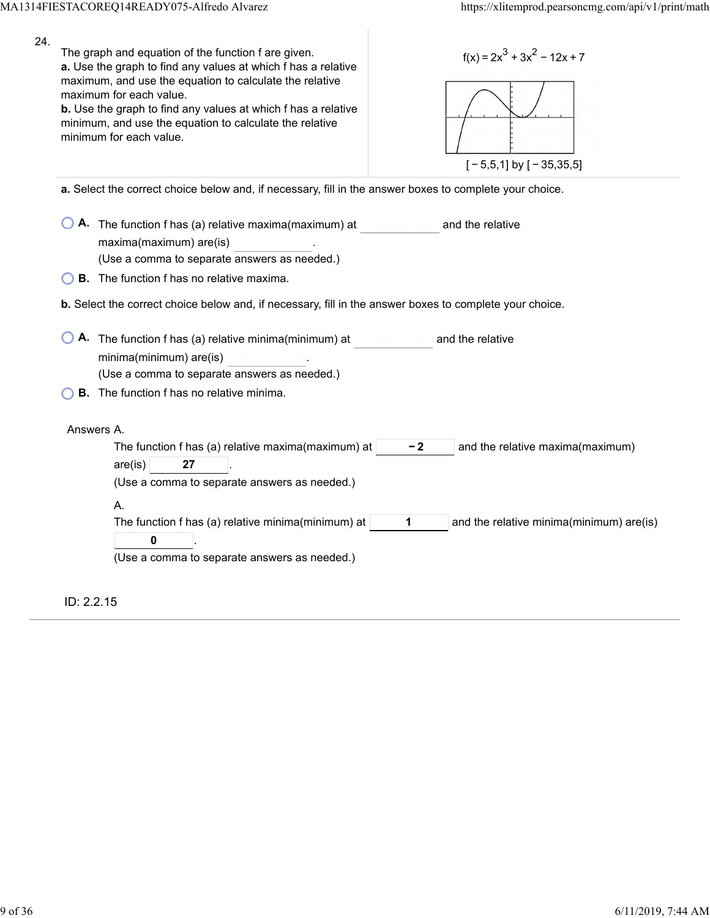| 24. | The graph and equation of the function f are given.<br>$f(x) = 2x^3 + 3x^2 - 12x + 7$<br>a. Use the graph to find any values at which f has a relative<br>maximum, and use the equation to calculate the relative<br>maximum for each value.<br>b. Use the graph to find any values at which f has a relative<br>minimum, and use the equation to calculate the relative<br>minimum for each value.<br>$[-5,5,1]$ by $[-35,35,5]$ |  |  |  |  |  |
|-----|-----------------------------------------------------------------------------------------------------------------------------------------------------------------------------------------------------------------------------------------------------------------------------------------------------------------------------------------------------------------------------------------------------------------------------------|--|--|--|--|--|
|     | a. Select the correct choice below and, if necessary, fill in the answer boxes to complete your choice.                                                                                                                                                                                                                                                                                                                           |  |  |  |  |  |
|     | A. The function f has (a) relative maxima(maximum) at<br>and the relative<br>maxima(maximum) are(is)<br>(Use a comma to separate answers as needed.)                                                                                                                                                                                                                                                                              |  |  |  |  |  |
|     | <b>B.</b> The function f has no relative maxima.                                                                                                                                                                                                                                                                                                                                                                                  |  |  |  |  |  |
|     | b. Select the correct choice below and, if necessary, fill in the answer boxes to complete your choice.                                                                                                                                                                                                                                                                                                                           |  |  |  |  |  |
|     | A. The function f has (a) relative minima(minimum) at<br>and the relative<br>minima(minimum) are(is)<br>(Use a comma to separate answers as needed.)                                                                                                                                                                                                                                                                              |  |  |  |  |  |
|     | <b>B.</b> The function f has no relative minima.                                                                                                                                                                                                                                                                                                                                                                                  |  |  |  |  |  |
|     | Answers A.<br>The function f has (a) relative maxima(maximum) at<br>$-2$<br>and the relative maxima(maximum)<br>$are($ is $)$<br>27<br>(Use a comma to separate answers as needed.)<br>А.<br>The function f has (a) relative minima(minimum) at<br>1<br>and the relative minima(minimum) are(is)<br>0<br>(Use a comma to separate answers as needed.)                                                                             |  |  |  |  |  |
|     | ID: 2.2.15                                                                                                                                                                                                                                                                                                                                                                                                                        |  |  |  |  |  |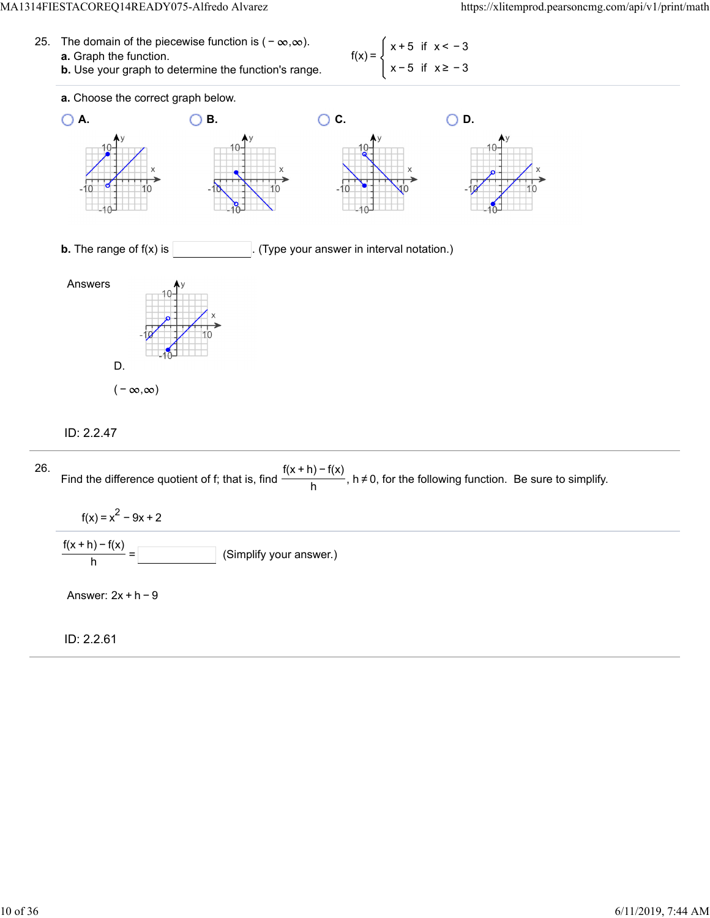25. The domain of the piecewise function is  $(-\infty, \infty)$ . **a.** Graph the function. **b.** Use your graph to determine the function's range.





# ID: 2.2.47

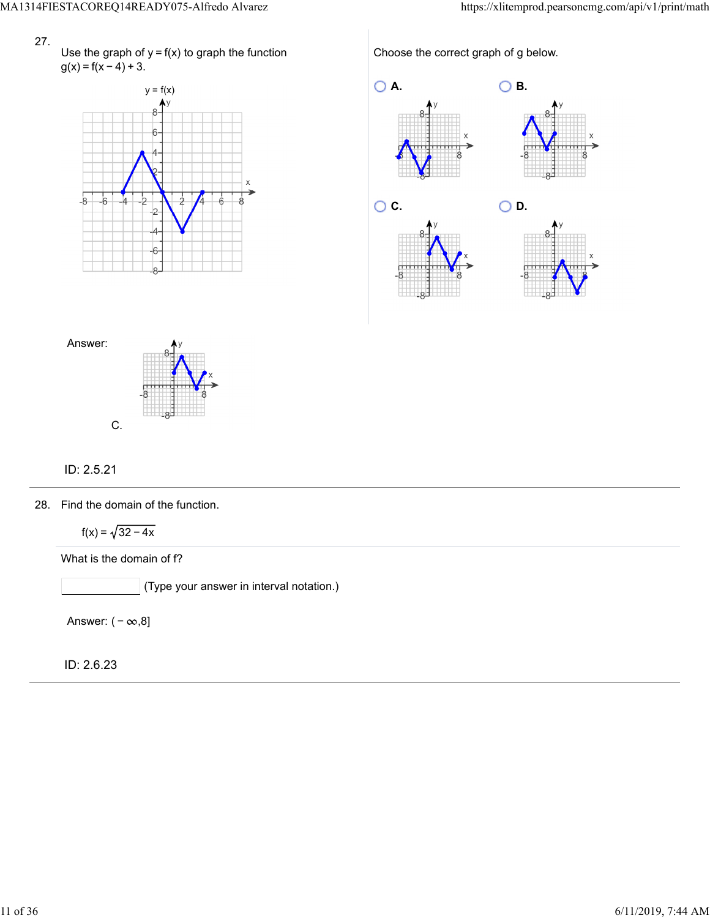Use the graph of  $y = f(x)$  to graph the function  $g(x) = f(x - 4) + 3.$ 



Choose the correct graph of g below.





# ID: 2.5.21

28. Find the domain of the function.

 $f(x) = \sqrt{32 - 4x}$ 

What is the domain of f?

(Type your answer in interval notation.)

Answer:  $(-\infty, 8]$ 

ID: 2.6.23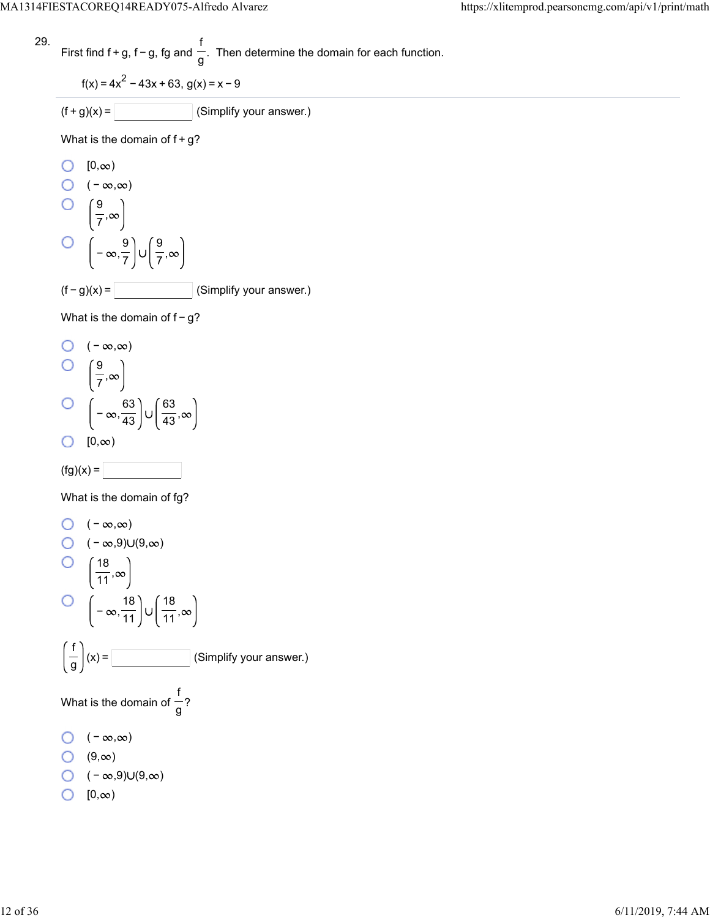First find 
$$
f + g
$$
,  $f - g$ ,  $fg$  and  $\frac{f}{g}$ . Then determine the domain for each function.

$$
f(x) = 4x^2 - 43x + 63, g(x) = x - 9
$$

$$
(f+g)(x) = \boxed{\qquad \qquad} \text{(Simplify your answer.)}
$$

What is the domain of  $f+g$ ?

O [0,
$$
\infty
$$
)  
O (- $\infty$ , $\infty$ )  
O  $\left(\frac{9}{7}, \infty\right)$   
O  $\left(-\infty, \frac{9}{7}\right) \cup \left(\frac{9}{7}, \infty\right)$   
(f - g)(x) = \_\_\_\_\_\_ (Simplify your answer.)

What is the domain of f-g?

O 
$$
(-\infty, \infty)
$$
  
O  $\left(\frac{9}{7}, \infty\right)$   
O  $\left(-\infty, \frac{63}{43}\right) \cup \left(\frac{63}{43}, \infty\right)$   
O  $[0, \infty)$ 

$$
(\text{fg})(x) =
$$

What is the domain of fg?

O 
$$
(-\infty, \infty)
$$
  
\nO  $(-\infty, 9) \cup (9, \infty)$   
\nO  $\left(\frac{18}{11}, \infty\right)$   
\nO  $\left(-\infty, \frac{18}{11}\right) \cup \left(\frac{18}{11}, \infty\right)$   
\n $\left(\frac{1}{9}\right)(x) =$  [Simplify your answer.)  
\nWhat is the domain of  $\frac{1}{9}$ ?  
\nO  $(-\infty, \infty)$   
\nO  $(9, \infty)$   
\nO  $(-\infty, 9) \cup (9, \infty)$   
\nO  $[0, \infty)$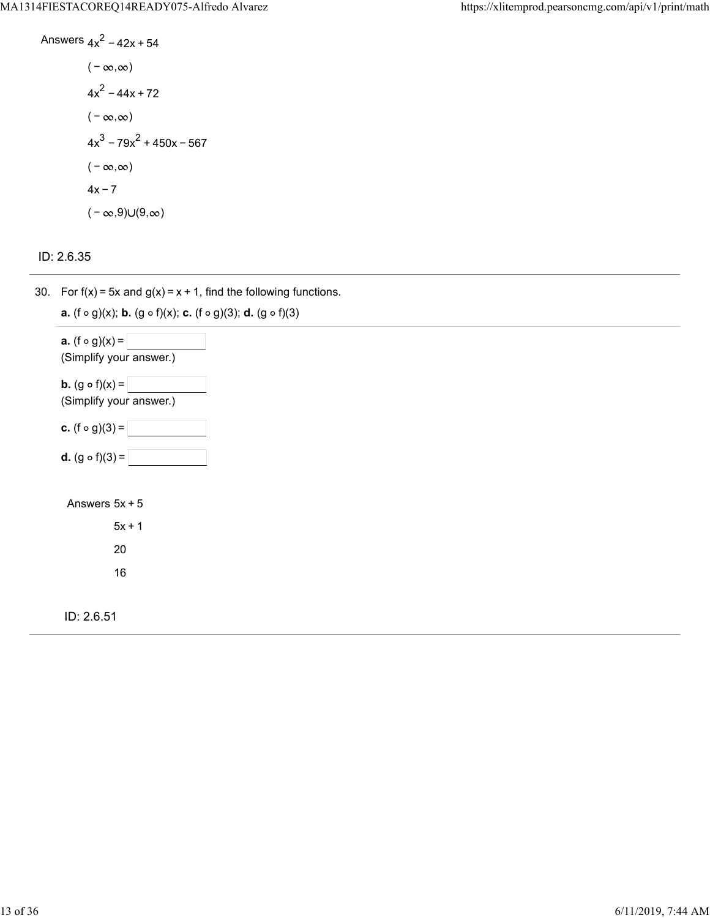Answers 
$$
4x^2 - 42x + 54
$$
  
\n $(-\infty, \infty)$   
\n $4x^2 - 44x + 72$   
\n $(-\infty, \infty)$   
\n $4x^3 - 79x^2 + 450x - 567$   
\n $(-\infty, \infty)$   
\n $4x - 7$   
\n $(-\infty, 9) \cup (9, \infty)$ 

ID: 2.6.35

30. For f(x) = 5x and  $g(x) = x + 1$ , find the following functions.

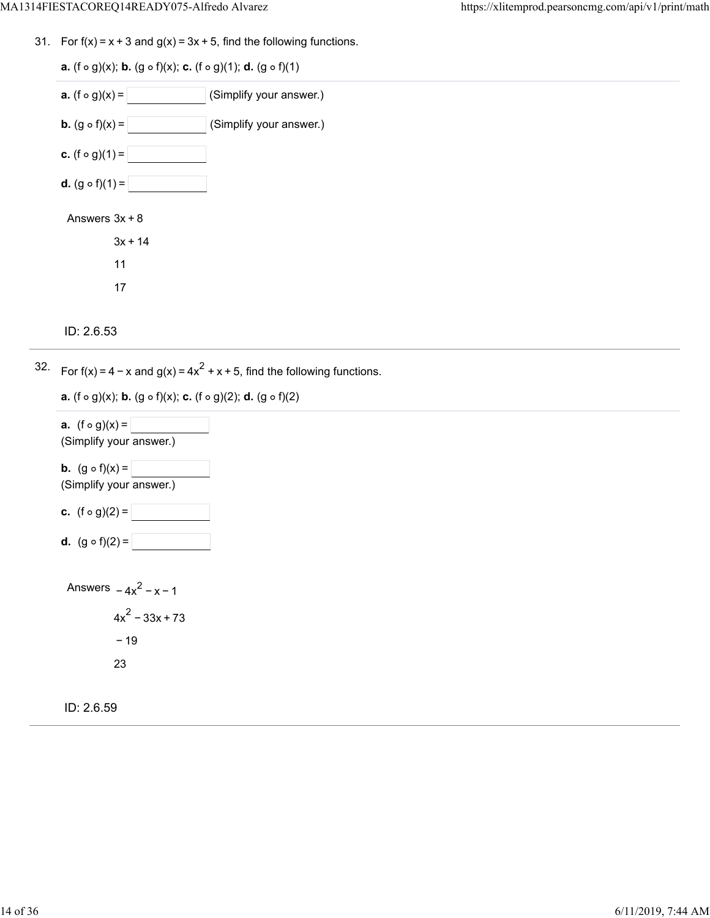31. For  $f(x) = x + 3$  and  $g(x) = 3x + 5$ , find the following functions.

**a.**  $(f \circ g)(x)$ ; **b.**  $(g \circ f)(x)$ ; **c.**  $(f \circ g)(1)$ ; **d.**  $(g \circ f)(1)$ **a.**  $(f \circ g)(x) =$  (Simplify your answer.) **b.**  $(g \circ f)(x) =$  (Simplify your answer.) **c.** (f  $\circ$  g)(1) = **d.**  $(g \circ f)(1) =$ Answers  $3x + 8$  $3x + 14$ 11 17

```
ID: 2.6.53
```
32. For  $f(x) = 4 - x$  and  $g(x) = 4x^2 + x + 5$ , find the following functions.

**a.**  $(f \circ g)(x)$ ; **b.**  $(g \circ f)(x)$ ; **c.**  $(f \circ g)(2)$ ; **d.**  $(g \circ f)(2)$ 



ID: 2.6.59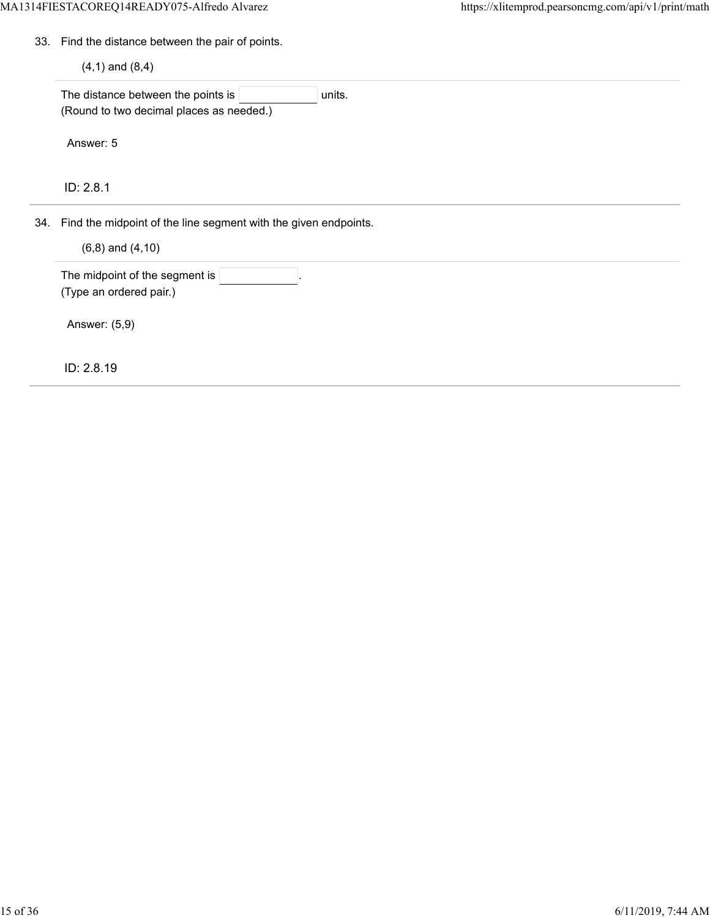33. Find the distance between the pair of points.

 $(4, 1)$  and  $(8, 4)$ 

The distance between the points is  $\boxed{\qquad \qquad}$  units. (Round to two decimal places as needed.)

Answer: 5

ID: 2.8.1

34. Find the midpoint of the line segment with the given endpoints.

 $(6, 8)$  and  $(4, 10)$ 

The midpoint of the segment is (Type an ordered pair.)

Answer: (5,9)

ID: 2.8.19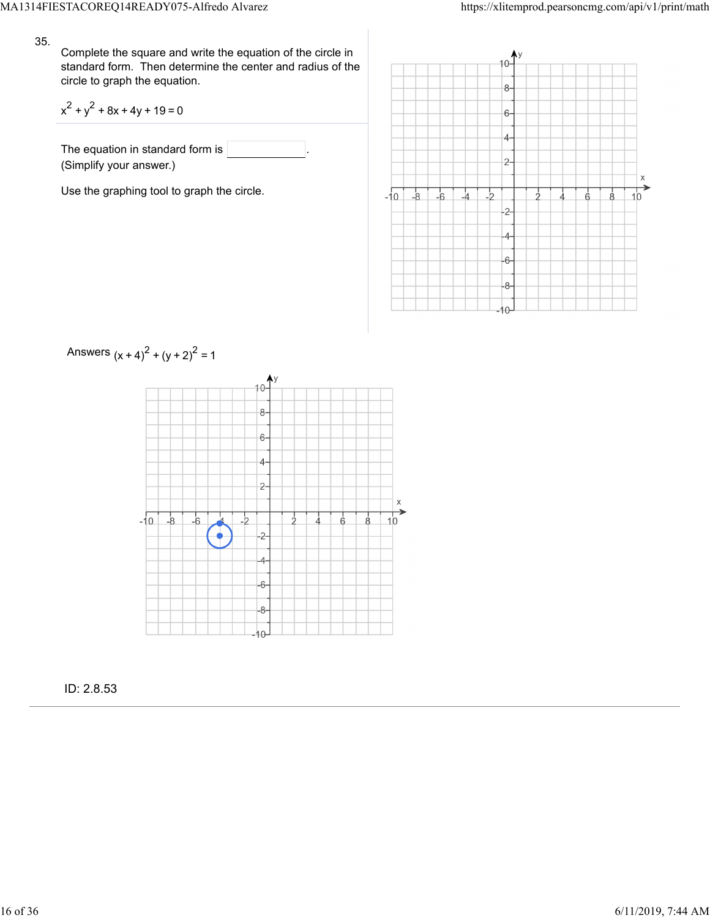Complete the square and write the equation of the circle in standard form. Then determine the center and radius of the circle to graph the equation.

$$
x^2 + y^2 + 8x + 4y + 19 = 0
$$

The equation in standard form is (Simplify your answer.)

Use the graphing tool to graph the circle.





ID: 2.8.53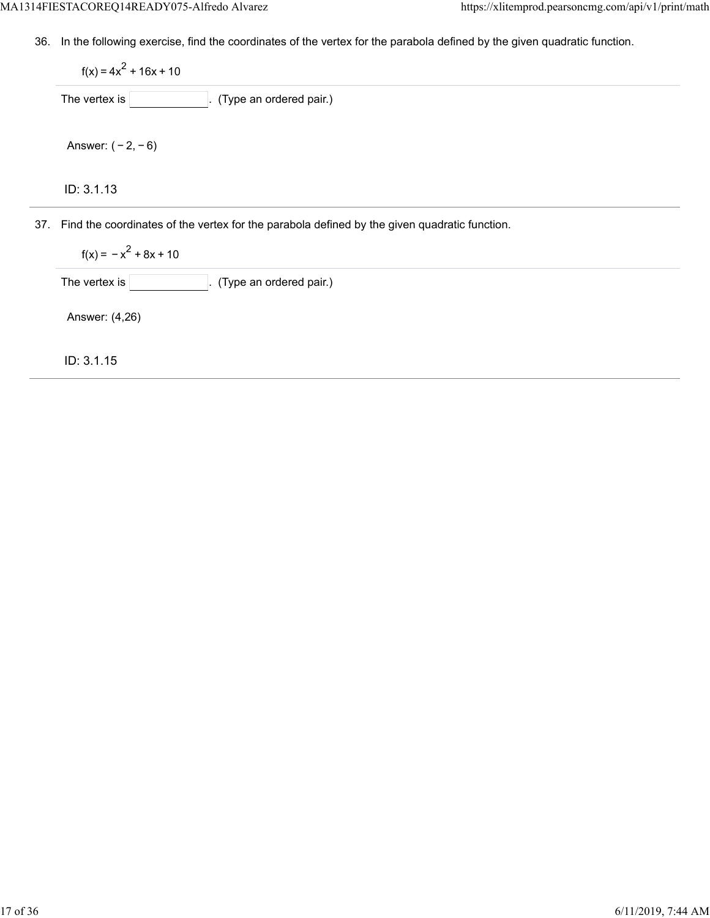36. In the following exercise, find the coordinates of the vertex for the parabola defined by the given quadratic function.

37. Find the coordinates of the vertex for the parabola defined by the given quadratic function. ID: 3.1.13  $f(x) = 4x^2 + 16x + 10$ The vertex is  $\boxed{\qquad \qquad}$ . (Type an ordered pair.) Answer: ( − 2, − 6)

 $f(x) = -x^2 + 8x + 10$ 

The vertex is  $\boxed{\qquad \qquad}$ . (Type an ordered pair.)

Answer: (4,26)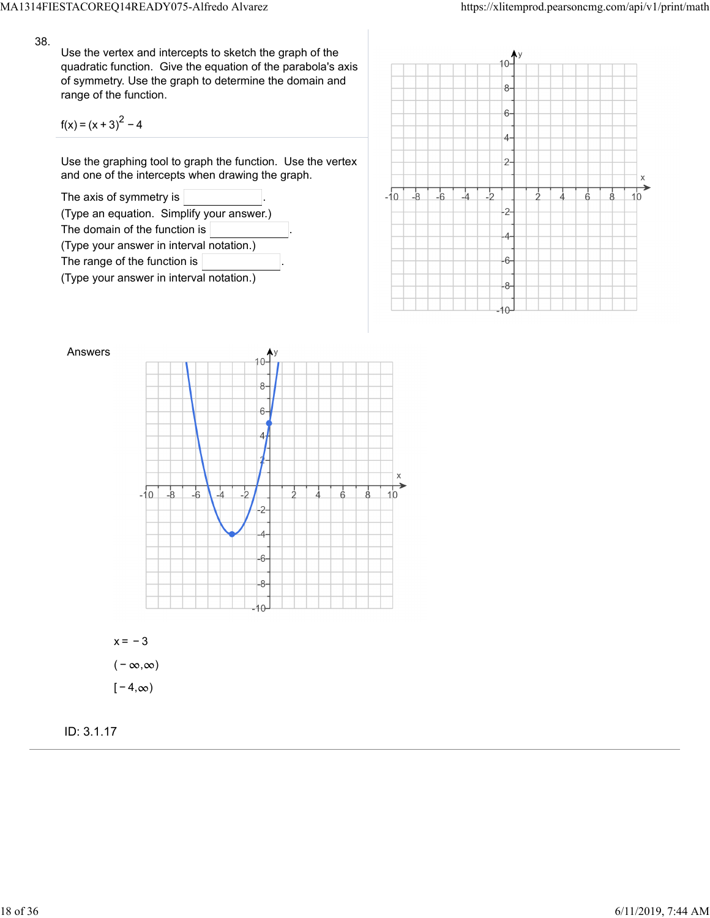Use the vertex and intercepts to sketch the graph of the quadratic function. Give the equation of the parabola's axis of symmetry. Use the graph to determine the domain and range of the function.

$$
f(x) = (x + 3)^2 - 4
$$

Use the graphing tool to graph the function. Use the vertex and one of the intercepts when drawing the graph.







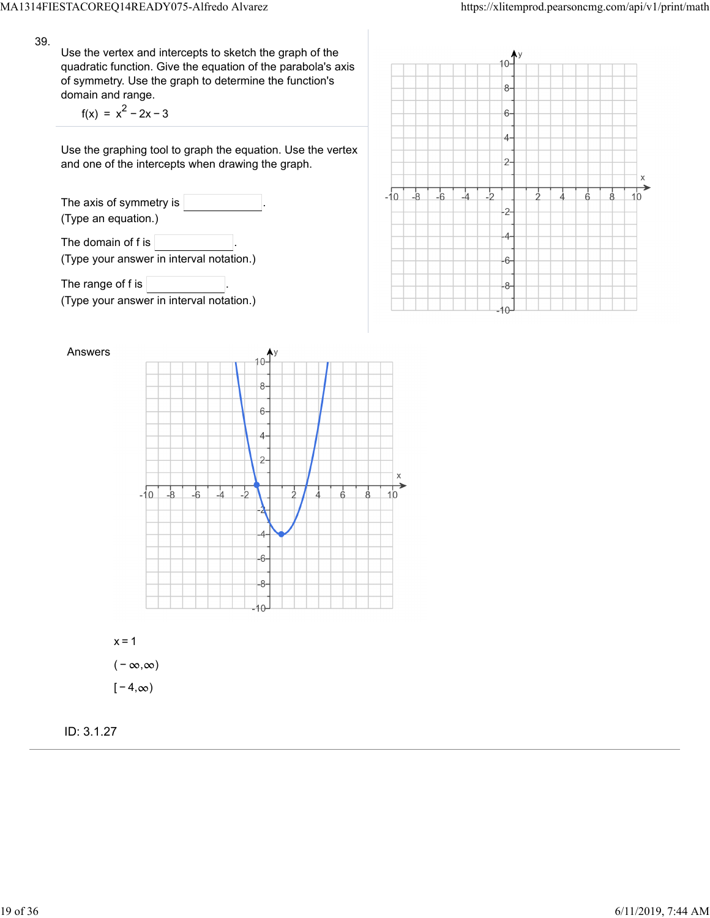Use the vertex and intercepts to sketch the graph of the quadratic function. Give the equation of the parabola's axis of symmetry. Use the graph to determine the function's domain and range.

 $f(x) = x^{2} - 2x - 3$ 

Use the graphing tool to graph the equation. Use the vertex and one of the intercepts when drawing the graph.

The axis of symmetry is (Type an equation.) The domain of f is  $\vert$ (Type your answer in interval notation.)

The range of f is  $\sqrt{ }$ (Type your answer in interval notation.)





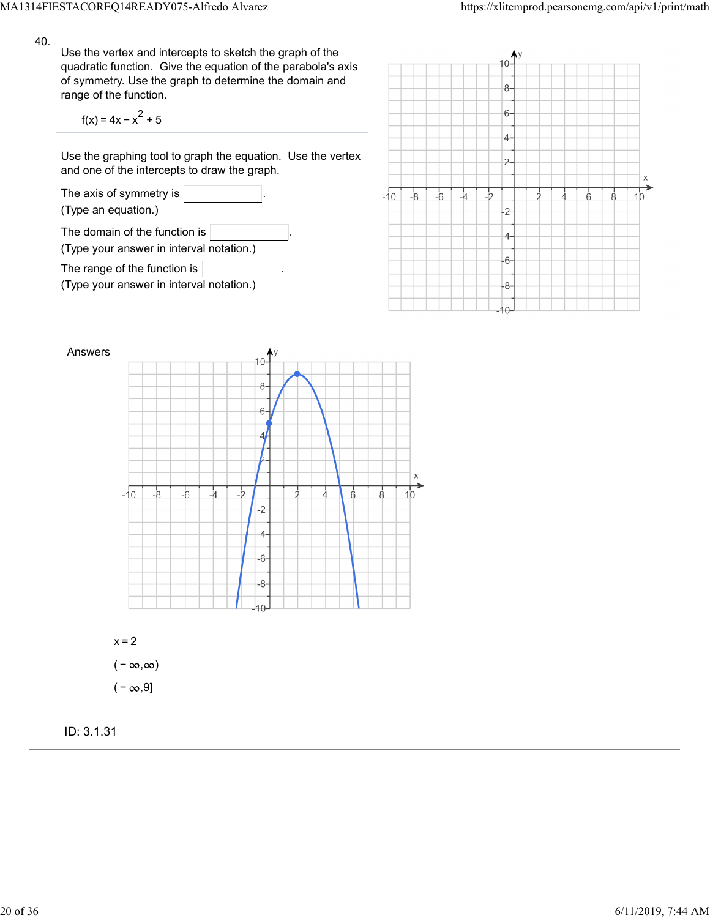Use the vertex and intercepts to sketch the graph of the quadratic function. Give the equation of the parabola's axis of symmetry. Use the graph to determine the domain and range of the function.

$$
f(x) = 4x - x^2 + 5
$$

Use the graphing tool to graph the equation. Use the vertex and one of the intercepts to draw the graph.







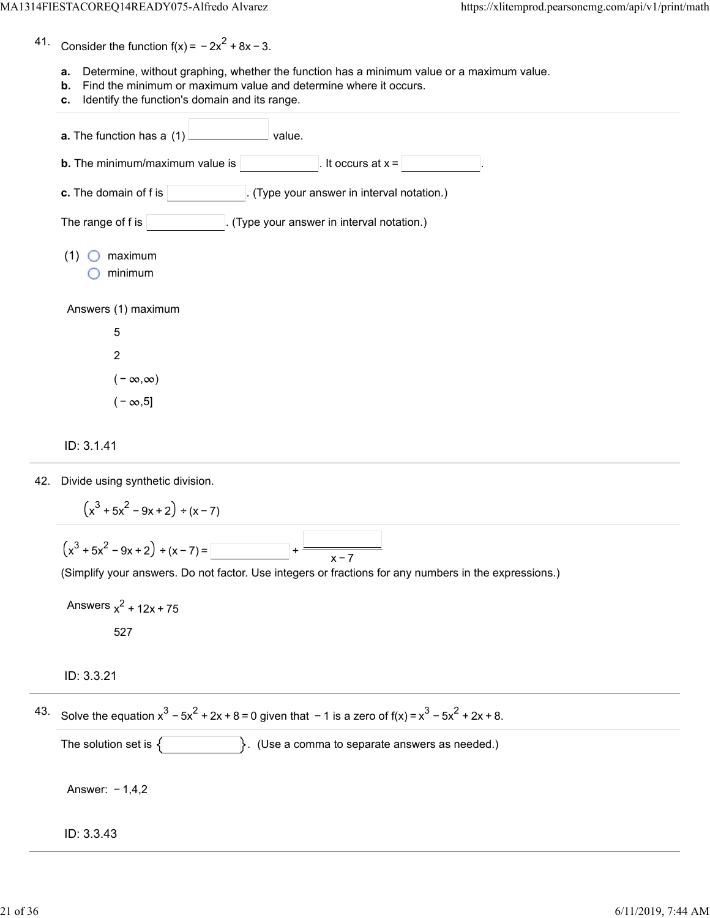41. Consider the function  $f(x) = -2x^2 + 8x - 3$ .

- **a.** Determine, without graphing, whether the function has a minimum value or a maximum value.
- **b.** Find the minimum or maximum value and determine where it occurs.
- **c.** Identify the function's domain and its range.

| a. The function has a (1)<br>value.                               |  |  |  |  |
|-------------------------------------------------------------------|--|--|--|--|
| <b>b.</b> The minimum/maximum value is<br>It occurs at $x =$      |  |  |  |  |
| c. The domain of f is<br>(Type your answer in interval notation.) |  |  |  |  |
| The range of f is<br>. (Type your answer in interval notation.)   |  |  |  |  |
| maximum<br>(1)<br>minimum                                         |  |  |  |  |
| Answers (1) maximum                                               |  |  |  |  |
| 5                                                                 |  |  |  |  |
| $\overline{c}$                                                    |  |  |  |  |
| $(-\infty,\infty)$                                                |  |  |  |  |
| $(-\infty, 5]$                                                    |  |  |  |  |

#### ID: 3.1.41

42. Divide using synthetic division.

$$
(x3 + 5x2 - 9x + 2) \div (x - 7)
$$
  

$$
(x3 + 5x2 - 9x + 2) \div (x - 7) =
$$
  

$$
+ \frac{1}{x - 7}
$$
  
(Simplify your answers. Do not factor. Use integers or fractions for any numbers in the expressions.)

Answers  $x^2$  + 12x + 75 527

## ID: 3.3.21

 $43.$  Solve the equation  $x^3 - 5x^2 + 2x + 8 = 0$  given that −1 is a zero of f(x) =  $x^3 - 5x^2 + 2x + 8$ .

The solution set is  $\{\}$  . (Use a comma to separate answers as needed.)

Answer: − 1,4,2

#### ID: 3.3.43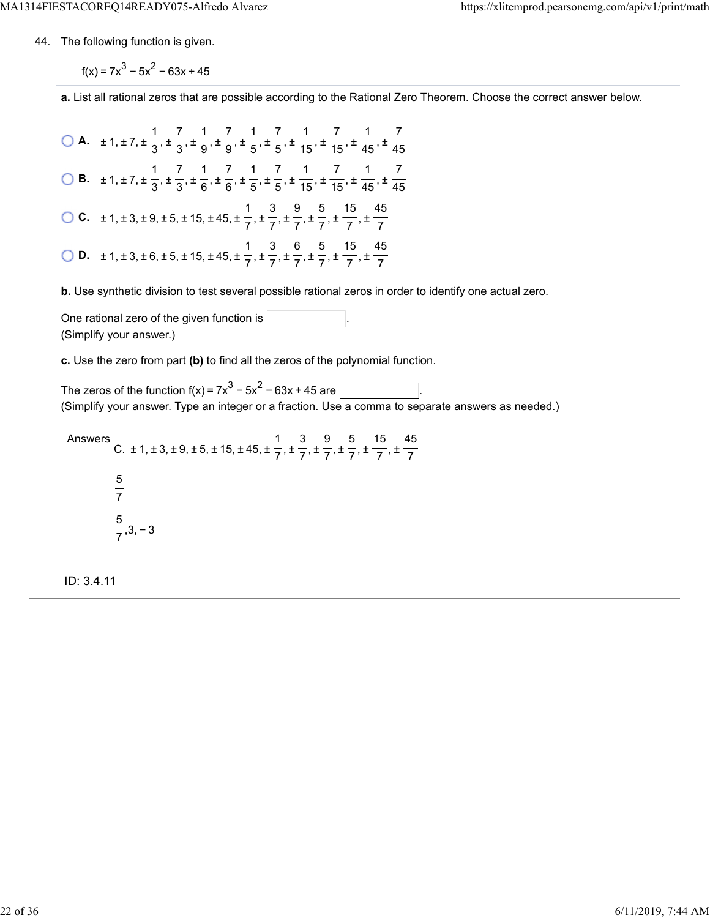44. The following function is given.

 $f(x) = 7x^3 - 5x^2 - 63x + 45$ 

**a.** List all rational zeros that are possible according to the Rational Zero Theorem. Choose the correct answer below.

**A.**  $\pm 1, \pm 7, \pm \frac{1}{2}, \pm \frac{7}{2}, \pm \frac{1}{2}, \pm \frac{7}{2}, \pm \frac{1}{2}, \pm \frac{7}{2}, \pm \frac{1}{45}, \pm \frac{7}{45}, \pm \frac{1}{46}, \pm \frac{1}{47}$  **B.**  $\pm 1, \pm 7, \pm \frac{1}{2}, \pm \frac{7}{2}, \pm \frac{1}{6}, \pm \frac{7}{6}, \pm \frac{1}{7}, \pm \frac{7}{7}, \pm \frac{1}{45}, \pm \frac{7}{45}, \pm \frac{1}{46}, \pm \frac{1}{46}$  **C.**  $\pm$  1,  $\pm$  3,  $\pm$  9,  $\pm$  5,  $\pm$  15,  $\pm$  45,  $\pm$   $\frac{1}{2}$ ,  $\pm$   $\frac{3}{2}$ ,  $\pm$   $\frac{9}{2}$ ,  $\pm$   $\frac{5}{2}$ ,  $\pm$   $\frac{15}{2}$ ,  $\pm$  **D.**  $\pm 1, \pm 3, \pm 6, \pm 5, \pm 15, \pm 45, \pm \frac{1}{7}, \pm \frac{1}{7}, \pm \frac{1}{7}, \pm \frac{1}{7}, \pm \frac{1}{7}, \pm \frac{1}{7}$  

**b.** Use synthetic division to test several possible rational zeros in order to identify one actual zero.

One rational zero of the given function is . (Simplify your answer.)

**c.** Use the zero from part **(b)** to find all the zeros of the polynomial function.

The zeros of the function  $f(x) = 7x^3 - 5x^2 - 63x + 45$  are  $\lceil$ (Simplify your answer. Type an integer or a fraction. Use a comma to separate answers as needed.)

Answers C.  $\pm$  1,  $\pm$  3,  $\pm$  9,  $\pm$  5,  $\pm$  15,  $\pm$  45,  $\pm$   $\frac{1}{2}$ ,  $\pm$   $\frac{1}{2}$ ,  $\pm$   $\frac{1}{2}$ ,  $\pm$   $\frac{1}{2}$ ,  $\pm$  ,3, − 3 

ID: 3.4.11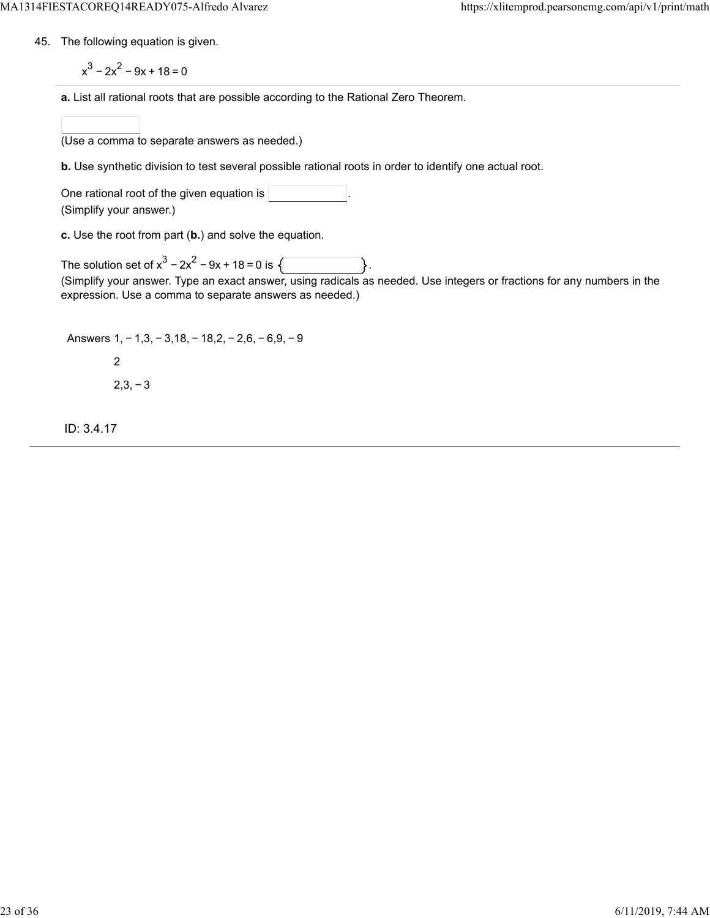- 45. The following equation is given.
	- $x^{3}$  2 $x^{2}$  9x + 18 = 0
	- **a.** List all rational roots that are possible according to the Rational Zero Theorem.

(Use a comma to separate answers as needed.)

**b.** Use synthetic division to test several possible rational roots in order to identify one actual root.

One rational root of the given equation is (Simplify your answer.)

**c.** Use the root from part (**b.**) and solve the equation.

The solution set of  $x^3 - 2x^2 - 9x + 18 = 0$  is  $\sqrt{ }$ (Simplify your answer. Type an exact answer, using radicals as needed. Use integers or fractions for any numbers in the expression. Use a comma to separate answers as needed.)

Answers 1, − 1,3, − 3,18, − 18,2, − 2,6, − 6,9, − 9 2

 $2,3,-3$ 

ID: 3.4.17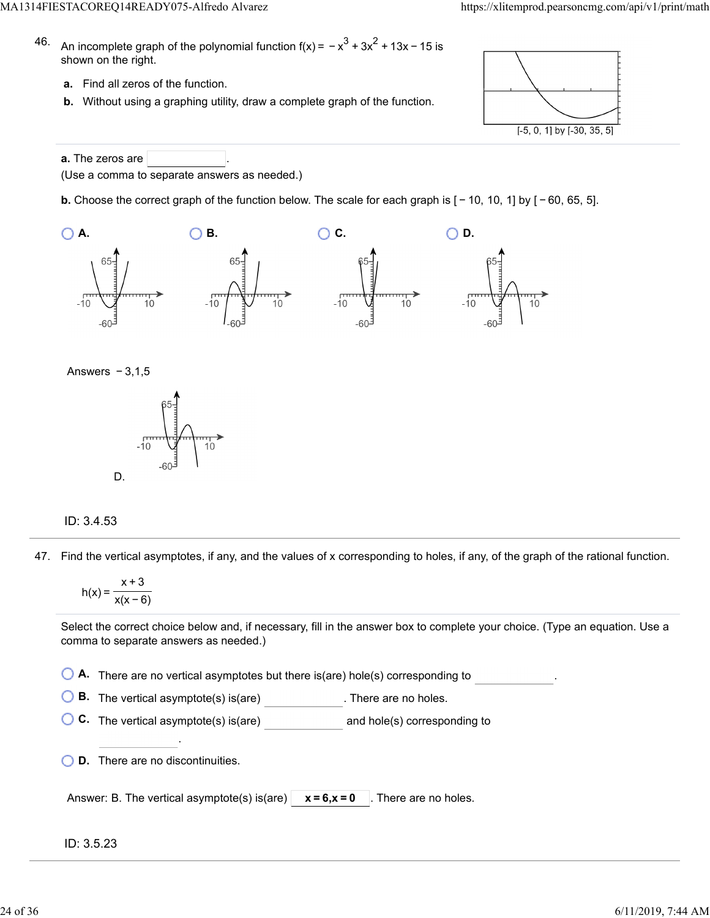- 46. An incomplete graph of the polynomial function f(x) =  $-x^3 + 3x^2 + 13x - 15$  is shown on the right.
	- **a.** Find all zeros of the function.
	- **b.** Without using a graphing utility, draw a complete graph of the function.



**a.** The zeros are (Use a comma to separate answers as needed.)

**b.** Choose the correct graph of the function below. The scale for each graph is  $[-10, 10, 1]$  by  $[-60, 65, 5]$ .







### ID: 3.4.53

47. Find the vertical asymptotes, if any, and the values of x corresponding to holes, if any, of the graph of the rational function.

$$
h(x) = \frac{x+3}{x(x-6)}
$$

Select the correct choice below and, if necessary, fill in the answer box to complete your choice. (Type an equation. Use a comma to separate answers as needed.)

**A.** There are no vertical asymptotes but there is(are) hole(s) corresponding to .

**B.** The vertical asymptote(s) is(are) **B.** There are no holes.

**C.** The vertical asymptote(s) is(are) and hole(s) corresponding to

**D.** There are no discontinuities.

.

| Answer: B. The vertical asymptote(s) is(are) $\vert x = 6, x = 0 \vert$ . There are no holes. |  |  |
|-----------------------------------------------------------------------------------------------|--|--|
|-----------------------------------------------------------------------------------------------|--|--|

### ID: 3.5.23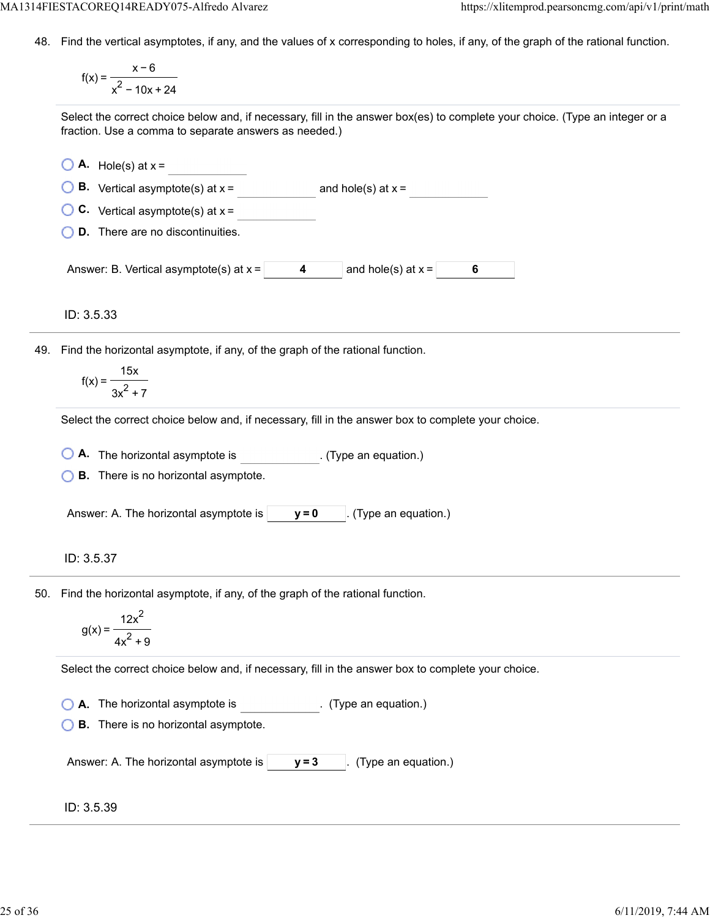48. Find the vertical asymptotes, if any, and the values of x corresponding to holes, if any, of the graph of the rational function.

f(x) = x−6  $x^2 - 10x + 24$ 

Select the correct choice below and, if necessary, fill in the answer box(es) to complete your choice. (Type an integer or a fraction. Use a comma to separate answers as needed.)

 $\bigcirc$  **A.** Hole(s) at  $x =$ **B.** Vertical asymptote(s) at  $x =$  and hole(s) at  $x =$ **C.** Vertical asymptote(s) at x = **D.** There are no discontinuities. Answer: B. Vertical asymptote(s) at  $x = \begin{bmatrix} 4 \\ 4 \end{bmatrix}$  and hole(s) at  $x = \begin{bmatrix} 6 \\ 1 \end{bmatrix}$ 

ID: 3.5.33

49. Find the horizontal asymptote, if any, of the graph of the rational function.

$$
f(x) = \frac{15x}{3x^2 + 7}
$$

Select the correct choice below and, if necessary, fill in the answer box to complete your choice.

**A.** The horizontal asymptote is ... (Type an equation.)

**B.** There is no horizontal asymptote.

Answer: A. The horizontal asymptote is  $\vert \mathbf{y} = \mathbf{0} \vert$ . (Type an equation.)

# ID: 3.5.37

50. Find the horizontal asymptote, if any, of the graph of the rational function.

$$
g(x) = \frac{12x^2}{4x^2 + 9}
$$

Select the correct choice below and, if necessary, fill in the answer box to complete your choice.

**A.** The horizontal asymptote is . (Type an equation.)

**B.** There is no horizontal asymptote.

Answer: A. The horizontal asymptote is  $|$   $y=3$   $|$ . (Type an equation.)

# ID: 3.5.39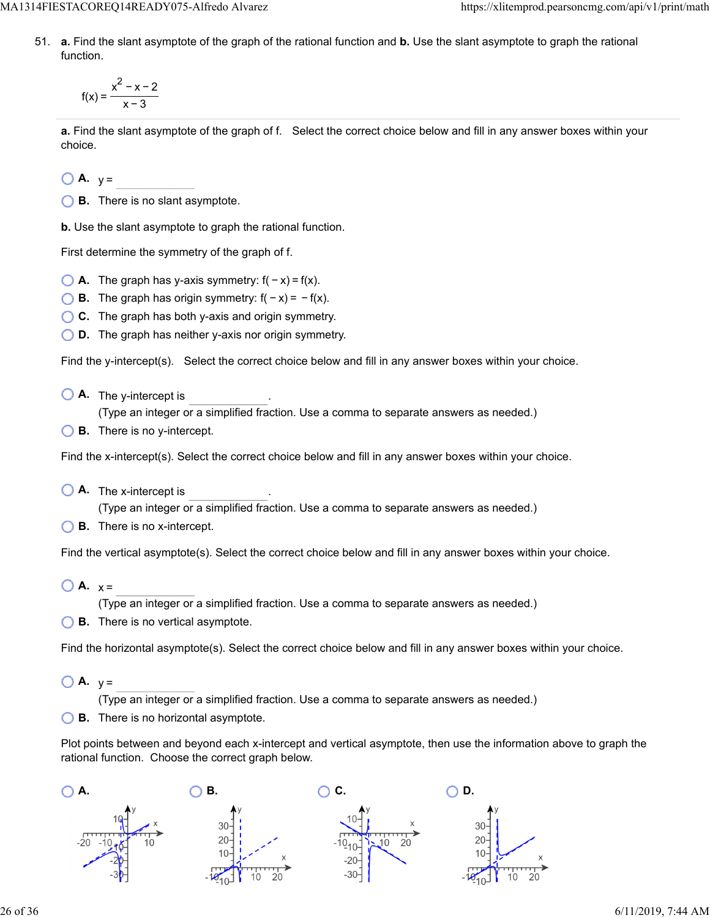MA1314FIESTACOREQ14READY075-Alfredo Alvarez https://xlitemprod.pearsoncmg.com/api/v1/print/math

51. **a.** Find the slant asymptote of the graph of the rational function and **b.** Use the slant asymptote to graph the rational function.

$$
f(x) = \frac{x^2 - x - 2}{x - 3}
$$

**a.** Find the slant asymptote of the graph of f. Select the correct choice below and fill in any answer boxes within your choice.

 $\bigcirc$  **A.**  $y =$ 

**B.** There is no slant asymptote.

**b.** Use the slant asymptote to graph the rational function.

First determine the symmetry of the graph of f.

- $\bigcirc$  **A.** The graph has y-axis symmetry:  $f(-x) = f(x)$ .
- **B.** The graph has origin symmetry:  $f(-x) = -f(x)$ .
- **C.** The graph has both y-axis and origin symmetry.
- **D.** The graph has neither y-axis nor origin symmetry.

Find the y-intercept(s). Select the correct choice below and fill in any answer boxes within your choice.

**A.** The y-intercept is .

(Type an integer or a simplified fraction. Use a comma to separate answers as needed.)

**B.** There is no y-intercept.

Find the x-intercept(s). Select the correct choice below and fill in any answer boxes within your choice.

**A.** The x-intercept is .

(Type an integer or a simplified fraction. Use a comma to separate answers as needed.)

**B.** There is no x-intercept.

Find the vertical asymptote(s). Select the correct choice below and fill in any answer boxes within your choice.

 $\bigcirc$  **A.**  $x =$ 

(Type an integer or a simplified fraction. Use a comma to separate answers as needed.)

**B.** There is no vertical asymptote.

Find the horizontal asymptote(s). Select the correct choice below and fill in any answer boxes within your choice.

 $\bigcirc$  **A.**  $v =$ 

(Type an integer or a simplified fraction. Use a comma to separate answers as needed.)

**B.** There is no horizontal asymptote.

Plot points between and beyond each x-intercept and vertical asymptote, then use the information above to graph the rational function. Choose the correct graph below.

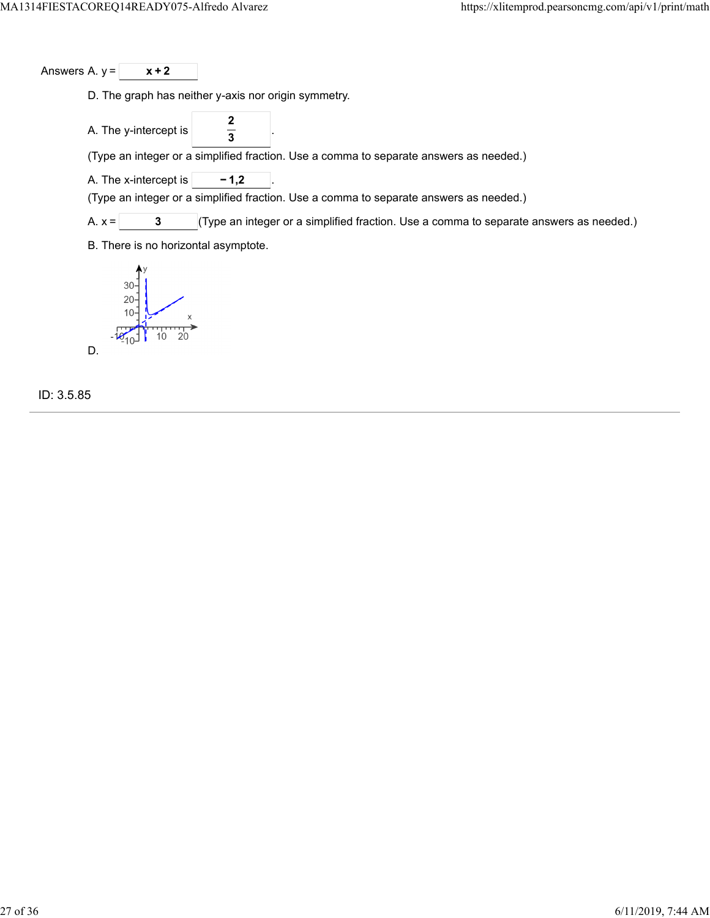Answers A.  $y = \sqrt{x+2}$ 

D. The graph has neither y-axis nor origin symmetry.

A. The y-intercept is **2 3**

(Type an integer or a simplified fraction. Use a comma to separate answers as needed.)

A. The x-intercept is  $\boxed{\phantom{000}-1,2}$ 

(Type an integer or a simplified fraction. Use a comma to separate answers as needed.)

A.  $x =$  **3** (Type an integer or a simplified fraction. Use a comma to separate answers as needed.)

B. There is no horizontal asymptote.



ID: 3.5.85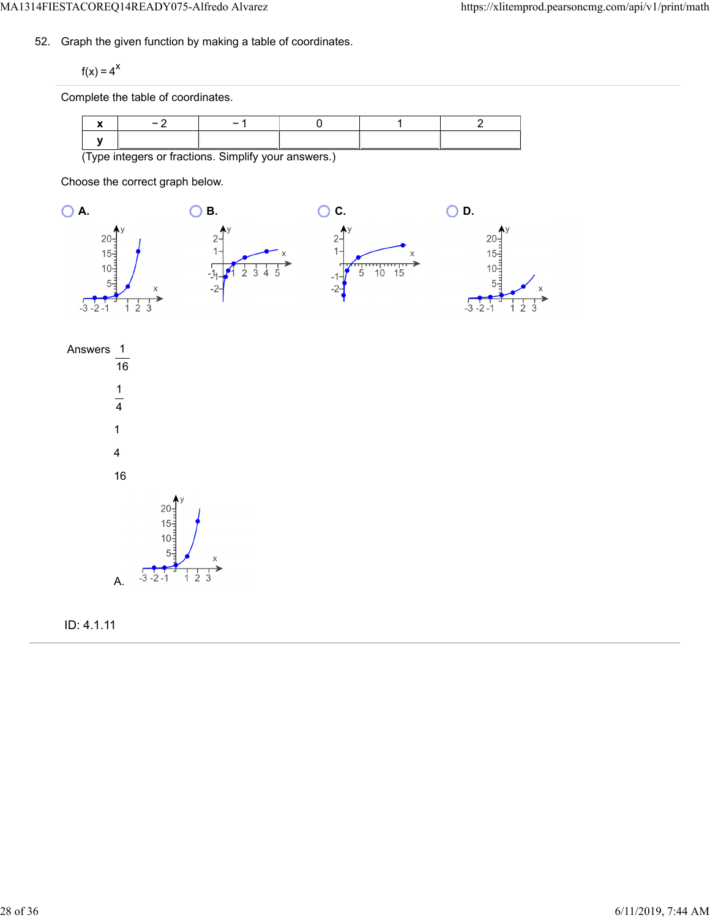52. Graph the given function by making a table of coordinates.

 $f(x) = 4^x$ 

Complete the table of coordinates.

|                                                      | $\overline{\phantom{0}}$ |  |  |  |  |
|------------------------------------------------------|--------------------------|--|--|--|--|
|                                                      |                          |  |  |  |  |
| (Type integers or fractions. Simplify your answers.) |                          |  |  |  |  |

Choose the correct graph below.







ID: 4.1.11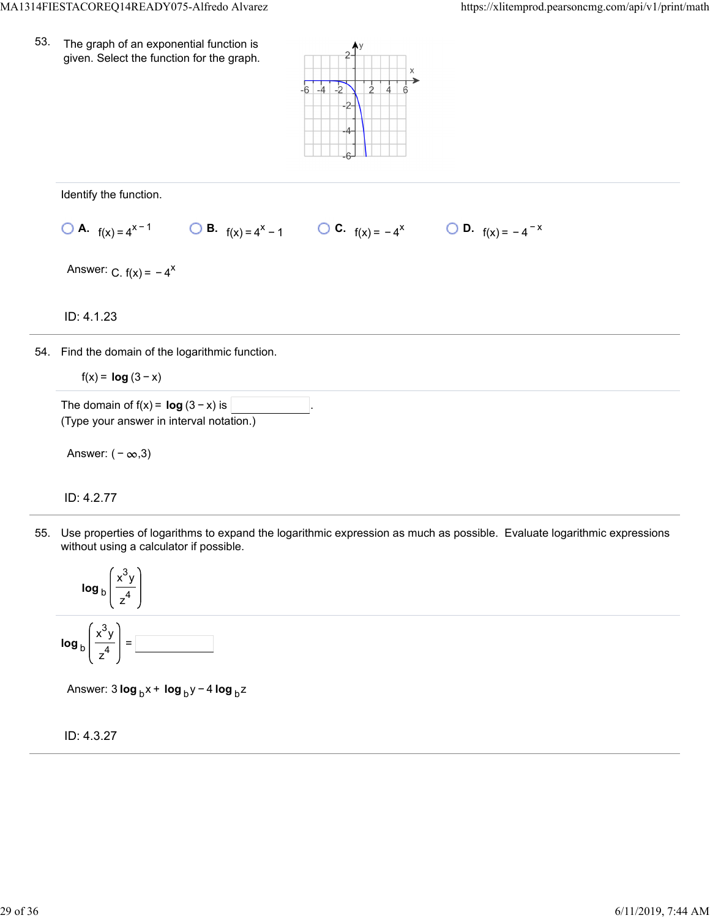53. The graph of an exponential function is given. Select the function for the graph.



Identify the function.

**0 A.** 
$$
f(x) = 4^{x-1}
$$
 **0 B.**  $f(x) = 4^x - 1$  **0 C.**  $f(x) = -4^x$  **0 D.**  $f(x) = -4^{-x}$ 

Answer:  $C. f(x) = -4^x$ 

ID: 4.1.23

54. Find the domain of the logarithmic function.

 $f(x) = \log(3-x)$ 

The domain of  $f(x) = \log(3 - x)$  is (Type your answer in interval notation.)

Answer:  $(-\infty,3)$ 

ID: 4.2.77

55. Use properties of logarithms to expand the logarithmic expression as much as possible. Evaluate logarithmic expressions without using a calculator if possible.



Answer: 3 **log** <sub>b</sub>x + **log** <sub>b</sub>y − 4 **log** <sub>b</sub>z

ID: 4.3.27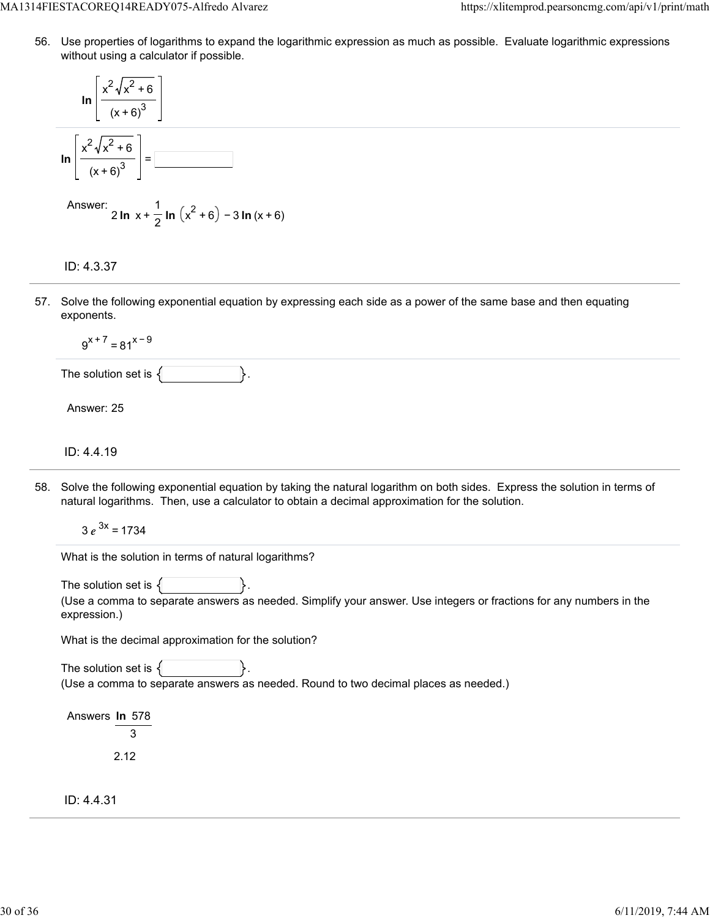56. Use properties of logarithms to expand the logarithmic expression as much as possible. Evaluate logarithmic expressions without using a calculator if possible.

**ln** x 2 x <sup>2</sup> + 6 (x + 6)<sup>3</sup> **ln** x 2 x <sup>2</sup> + 6 (x + 6)<sup>3</sup> <sup>=</sup>

Answer: 
$$
2 \ln x + \frac{1}{2} \ln (x^2 + 6) - 3 \ln (x + 6)
$$

# ID: 4.3.37

57. Solve the following exponential equation by expressing each side as a power of the same base and then equating exponents.

$$
9^{x+7} = 81^{x-9}
$$

The solution set is  $\{$ 

Answer: 25

# ID: 4.4.19

58. Solve the following exponential equation by taking the natural logarithm on both sides. Express the solution in terms of natural logarithms. Then, use a calculator to obtain a decimal approximation for the solution.

 $3 e^{3x} = 1734$ 

What is the solution in terms of natural logarithms?

The solution set is  $\{$ 

(Use a comma to separate answers as needed. Simplify your answer. Use integers or fractions for any numbers in the expression.)

What is the decimal approximation for the solution?

The solution set is  $\{$ (Use a comma to separate answers as needed. Round to two decimal places as needed.)

Answers **ln** 578 3 2.12

ID: 4.4.31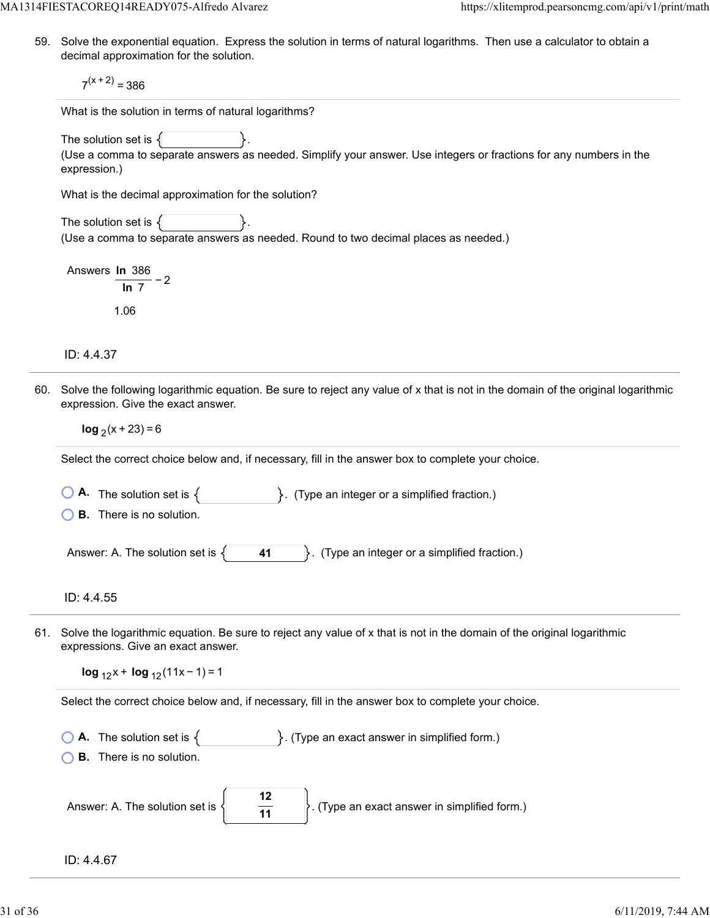59. Solve the exponential equation. Express the solution in terms of natural logarithms. Then use a calculator to obtain a decimal approximation for the solution.

 $7<sup>(x + 2)</sup> = 386$ 

What is the solution in terms of natural logarithms?

The solution set is  $\{$ 

(Use a comma to separate answers as needed. Simplify your answer. Use integers or fractions for any numbers in the expression.)

What is the decimal approximation for the solution?

The solution set is  $\{$ (Use a comma to separate answers as needed. Round to two decimal places as needed.)

Answers **ln** 386 − 2 **ln** 7 1.06

ID: 4.4.37

60. Solve the following logarithmic equation. Be sure to reject any value of x that is not in the domain of the original logarithmic expression. Give the exact answer.

**log**  $(x + 23) = 6$ 

Select the correct choice below and, if necessary, fill in the answer box to complete your choice.

**A.** The solution set is  $\{$  **F**  $\}$ . (Type an integer or a simplified fraction.)

**B.** There is no solution.

Answer: A. The solution set is  $\{\ \ \ \ \ \ \ \ \ \ \ \ 41 \ \ \ \ \ \ \}$ . (Type an integer or a simplified fraction.)

ID: 4.4.55

61. Solve the logarithmic equation. Be sure to reject any value of x that is not in the domain of the original logarithmic expressions. Give an exact answer.

**log**  $_{12}x + \log_{12}(11x - 1) = 1$ 

Select the correct choice below and, if necessary, fill in the answer box to complete your choice.

- **A.** The solution set is  $\{$   $\}$ . (Type an exact answer in simplified form.)
- **B.** There is no solution.

| Answer: A. The solution set is $\left\{ \right\}$ |  | $\mathcal{C}$ . (Type an exact answer in simplified form.) |
|---------------------------------------------------|--|------------------------------------------------------------|
|---------------------------------------------------|--|------------------------------------------------------------|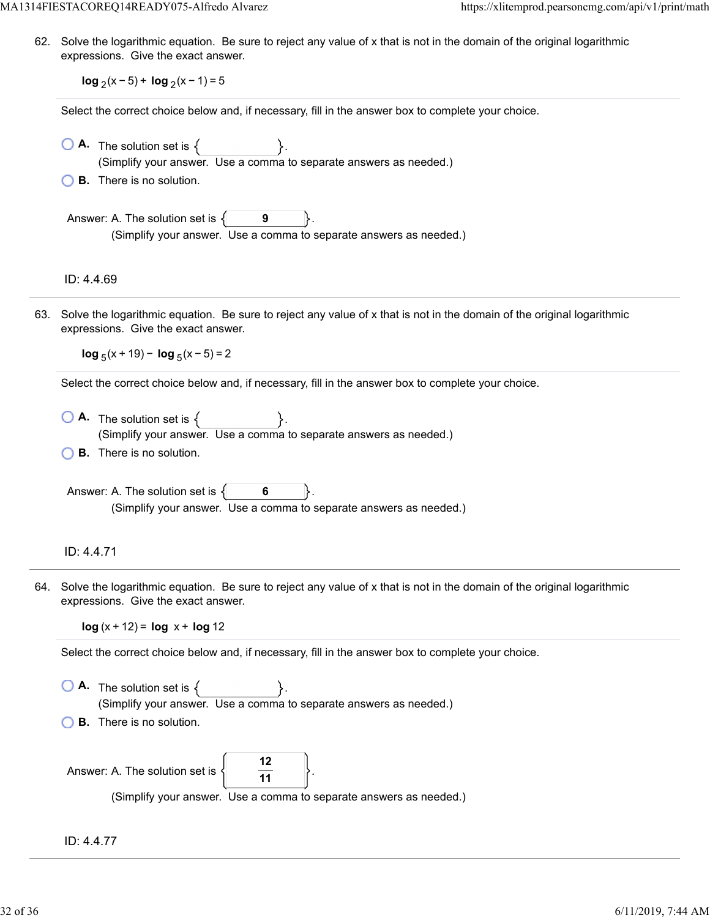MA1314FIESTACOREQ14READY075-Alfredo Alvarez https://xlitemprod.pearsoncmg.com/api/v1/print/math

62. Solve the logarithmic equation. Be sure to reject any value of x that is not in the domain of the original logarithmic expressions. Give the exact answer.

**log**  $(x - 5)$  + **log**  $(x - 1) = 5$ 

Select the correct choice below and, if necessary, fill in the answer box to complete your choice.

- $\bigcirc$  **A.** The solution set is  $\{$ (Simplify your answer. Use a comma to separate answers as needed.)
- **B.** There is no solution.

Answer: A. The solution set is  $\{$ **9** (Simplify your answer. Use a comma to separate answers as needed.)

ID: 4.4.69

63. Solve the logarithmic equation. Be sure to reject any value of x that is not in the domain of the original logarithmic expressions. Give the exact answer.

 $log_5(x + 19) - log_5(x - 5) = 2$ 

Select the correct choice below and, if necessary, fill in the answer box to complete your choice.

 $\overline{\bigcirc}$  **A.** The solution set is  $\{\_\_\_\_\_\_\_\_\_\_\_\_\_\_\_\_\_\_\_\_\_\_\_\_\_\_\_\_\_\_\_\_\_\_$ (Simplify your answer. Use a comma to separate answers as needed.) **B.** There is no solution.

Answer: A. The solution set is  $\{ \}$  6 (Simplify your answer. Use a comma to separate answers as needed.)

### ID: 4.4.71

64. Solve the logarithmic equation. Be sure to reject any value of x that is not in the domain of the original logarithmic expressions. Give the exact answer.

 $log(x + 12) = log x + log 12$ 

Select the correct choice below and, if necessary, fill in the answer box to complete your choice.

 $\bigcirc$  **A.** The solution set is  $\{$ (Simplify your answer. Use a comma to separate answers as needed.) **B.** There is no solution.

| Answer: A. The solution set is $\left\{\right\}$ |                                                                    |
|--------------------------------------------------|--------------------------------------------------------------------|
|                                                  | (Simplify your answer. Use a comma to separate answers as needed.) |

ID: 4.4.77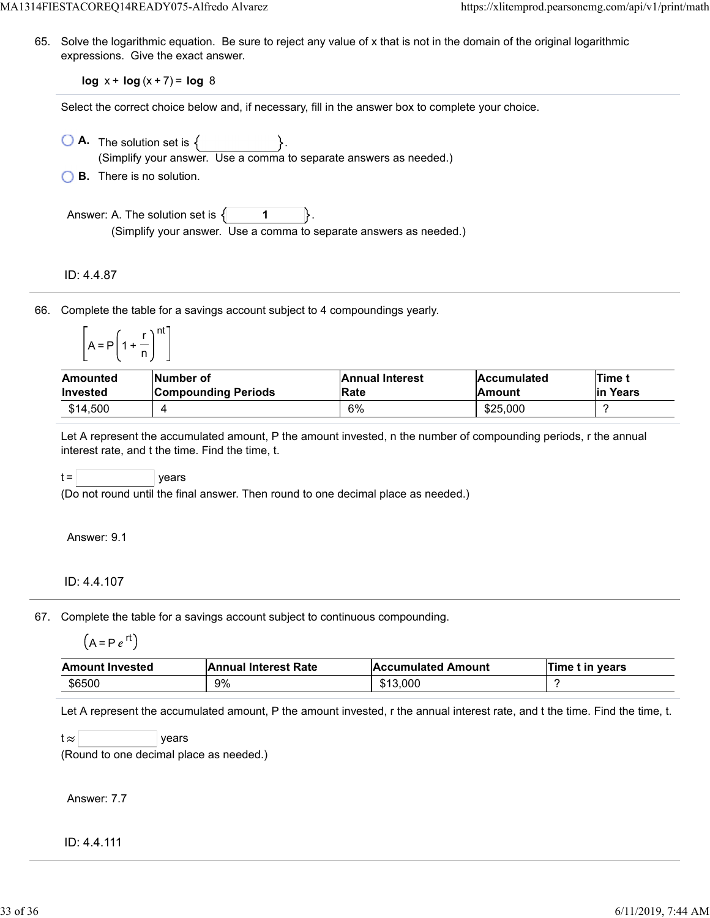65. Solve the logarithmic equation. Be sure to reject any value of x that is not in the domain of the original logarithmic expressions. Give the exact answer.

**log** x + **log** (x + 7) = **log** 8

Select the correct choice below and, if necessary, fill in the answer box to complete your choice.

- $\bigcirc$  **A.** The solution set is  $\{ \}$ . (Simplify your answer. Use a comma to separate answers as needed.)
- **B.** There is no solution.

Answer: A. The solution set is  $\{$ **1** (Simplify your answer. Use a comma to separate answers as needed.)

ID: 4.4.87

66. Complete the table for a savings account subject to 4 compoundings yearly.

|            |          | nt |
|------------|----------|----|
| $=$ P<br>А | -1<br>-1 |    |

| Amounted        | Number of                  | <b>Annual Interest</b> | <b>Accumulated</b> | <b>ITime t</b> |
|-----------------|----------------------------|------------------------|--------------------|----------------|
| <b>Invested</b> | <b>Compounding Periods</b> | <b>Rate</b>            | <b>Amount</b>      | lin Years      |
| \$14,500        |                            | 6%                     | \$25,000           |                |

Let A represent the accumulated amount, P the amount invested, n the number of compounding periods, r the annual interest rate, and t the time. Find the time, t.

 $t =$  | years

(Do not round until the final answer. Then round to one decimal place as needed.)

Answer: 9.1

#### ID: 4.4.107

67. Complete the table for a savings account subject to continuous compounding.

$$
(A = P e^{rt})
$$

| <b>Amount Invested</b> | <b>Annual Interest Rate</b> | <b>Accumulated Amount</b> | Time t in years |
|------------------------|-----------------------------|---------------------------|-----------------|
| \$6500                 | 9%                          | \$13,000                  |                 |

Let A represent the accumulated amount, P the amount invested, r the annual interest rate, and t the time. Find the time, t.

 $t \approx$  years

(Round to one decimal place as needed.)

Answer: 7.7

ID: 4.4.111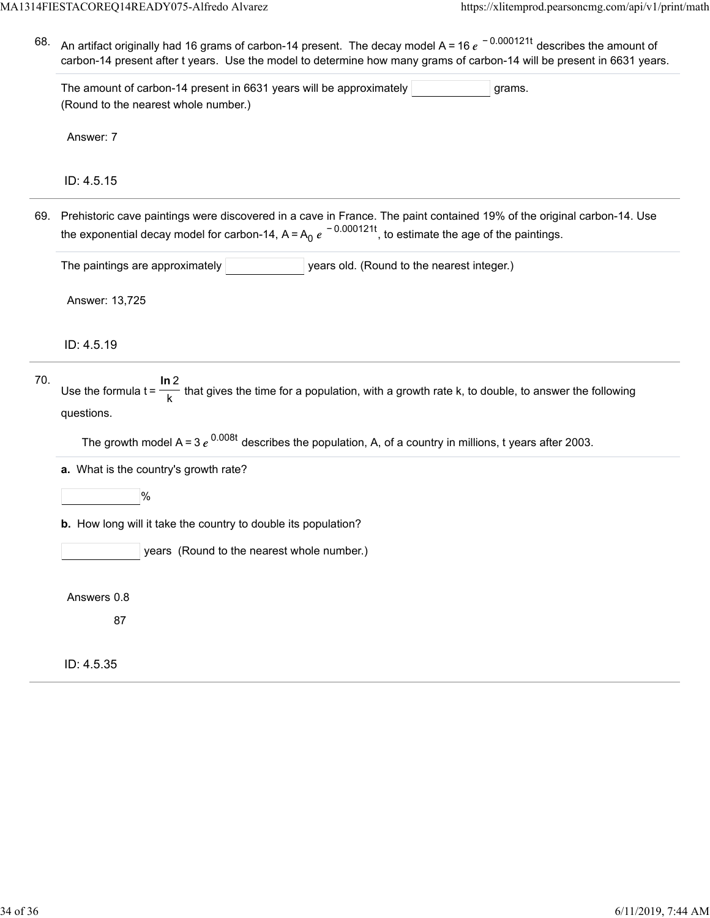68. An artifact originally had 16 grams of carbon-14 present. The decay model A = 16  $e^{\,\,-\,0.000121t}$  describes the amount of carbon-14 present after t years. Use the model to determine how many grams of carbon-14 will be present in 6631 years.

The amount of carbon-14 present in 6631 years will be approximately  $|$  states of grams. (Round to the nearest whole number.)

Answer: 7

ID: 4.5.15

69. Prehistoric cave paintings were discovered in a cave in France. The paint contained 19% of the original carbon-14. Use the exponential decay model for carbon-14, A=A<sub>0</sub>  $e^{\,-\,0.000121t}$ , to estimate the age of the paintings.

The paintings are approximately **The integent of the nearest integerent integer**.)

Answer: 13,725

ID: 4.5.19

| 70. |                                                                                                                                  |
|-----|----------------------------------------------------------------------------------------------------------------------------------|
|     | Use the formula $t = \frac{1}{k}$ that gives the time for a population, with a growth rate k, to double, to answer the following |
|     | questions.                                                                                                                       |

The growth model A = 3  $e^{0.008t}$  describes the population, A, of a country in millions, t years after 2003.

**a.** What is the country's growth rate?

 $|%$ 

**b.** How long will it take the country to double its population?

years (Round to the nearest whole number.)

Answers 0.8

87

ID: 4.5.35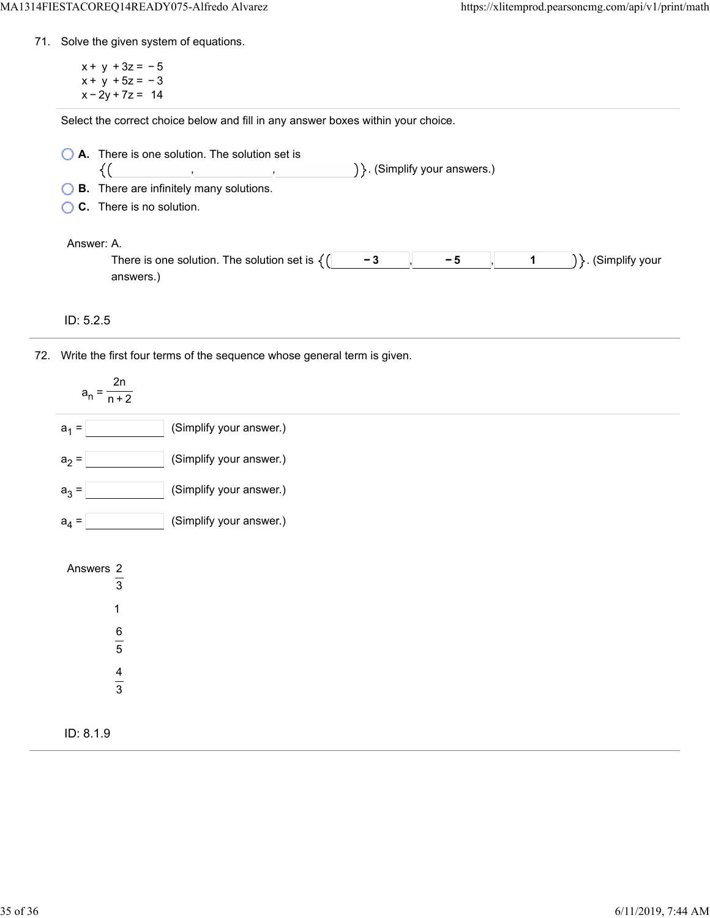- 71. Solve the given system of equations.
	- $x + y + 3z = -5$  $x + y + 5z = -3$  $x - 2y + 7z = 14$

Select the correct choice below and fill in any answer boxes within your choice.

- **A.** There is one solution. The solution set is ) }. (Simplify your answers.) {( , ,
- **B.** There are infinitely many solutions.
- **C.** There is no solution.

#### Answer: A.

| There is one solution<br>The solution set.<br>ТC | - | /our |
|--------------------------------------------------|---|------|
| MOTC                                             |   |      |

- ID: 5.2.5
- 72. Write the first four terms of the sequence whose general term is given.